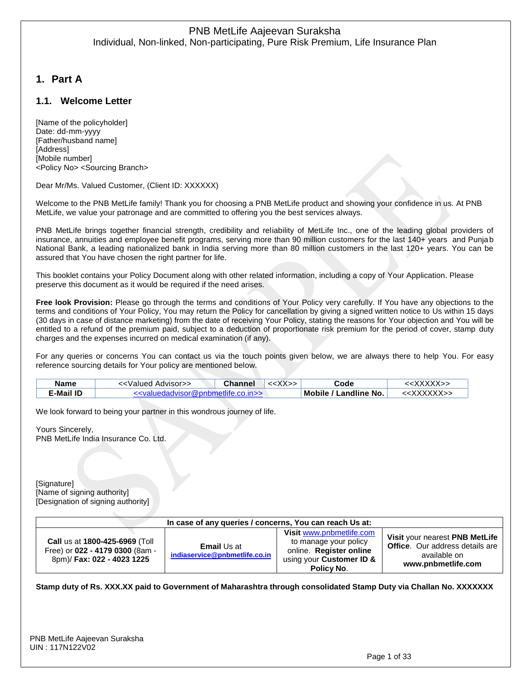# **1. Part A**

### **1.1. Welcome Letter**

[Name of the policyholder] Date: dd-mm-yyyy [Father/husband name] [Address] [Mobile number] <Policy No> <Sourcing Branch>

Dear Mr/Ms. Valued Customer, (Client ID: XXXXXX)

Welcome to the PNB MetLife family! Thank you for choosing a PNB MetLife product and showing your confidence in us. At PNB MetLife, we value your patronage and are committed to offering you the best services always.

PNB MetLife brings together financial strength, credibility and reliability of MetLife Inc., one of the leading global providers of insurance, annuities and employee benefit programs, serving more than 90 million customers for the last 140+ years and Punjab National Bank, a leading nationalized bank in India serving more than 80 million customers in the last 120+ years. You can be assured that You have chosen the right partner for life.

This booklet contains your Policy Document along with other related information, including a copy of Your Application. Please preserve this document as it would be required if the need arises.

**Free look Provision:** Please go through the terms and conditions of Your Policy very carefully. If You have any objections to the terms and conditions of Your Policy, You may return the Policy for cancellation by giving a signed written notice to Us within 15 days (30 days in case of distance marketing) from the date of receiving Your Policy, stating the reasons for Your objection and You will be entitled to a refund of the premium paid, subject to a deduction of proportionate risk premium for the period of cover, stamp duty charges and the expenses incurred on medical examination (if any).

For any queries or concerns You can contact us via the touch points given below, we are always there to help You. For easy reference sourcing details for Your policy are mentioned below.

| Name      | : <valued advisor="">&gt;</valued>                                      | Channel | $<<$ $X$ $X$ $>>$ | Code                  | : <xxxxx></xxxxx> |
|-----------|-------------------------------------------------------------------------|---------|-------------------|-----------------------|-------------------|
| 드-Mail ID | < <valuedadyisor@pphmetlite.co.in>&gt;</valuedadyisor@pphmetlite.co.in> |         |                   | Mobile / Landline No. |                   |

We look forward to being your partner in this wondrous journey of life.

Yours Sincerely, PNB MetLife India Insurance Co. Ltd.

[Signature] [Name of signing authority] [Designation of signing authority]

| In case of any queries / concerns, You can reach Us at:                                                |                                                     |                                                                                                                        |                                                                                                                |  |
|--------------------------------------------------------------------------------------------------------|-----------------------------------------------------|------------------------------------------------------------------------------------------------------------------------|----------------------------------------------------------------------------------------------------------------|--|
| <b>Call us at 1800-425-6969 (Toll</b><br>Free) or 022 - 4179 0300 (8am -<br>8pm)/ Fax: 022 - 4023 1225 | <b>Email Us at</b><br>indiaservice@pnbmetlife.co.in | Visit www.pnbmetlife.com<br>to manage your policy<br>online. Register online<br>using your Customer ID &<br>Policy No. | Visit your nearest PNB MetLife<br><b>Office.</b> Our address details are<br>available on<br>www.pnbmetlife.com |  |

**Stamp duty of Rs. XXX.XX paid to Government of Maharashtra through consolidated Stamp Duty via Challan No. XXXXXXX**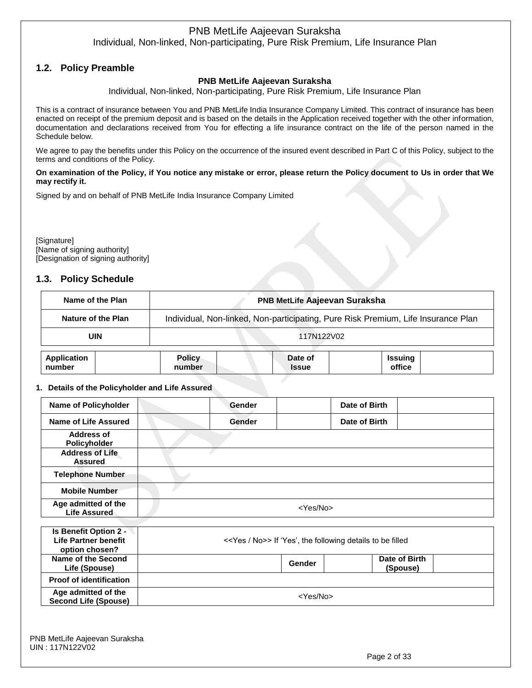# **1.2. Policy Preamble**

### **PNB MetLife Aajeevan Suraksha**

Individual, Non-linked, Non-participating, Pure Risk Premium, Life Insurance Plan

This is a contract of insurance between You and PNB MetLife India Insurance Company Limited. This contract of insurance has been enacted on receipt of the premium deposit and is based on the details in the Application received together with the other information, documentation and declarations received from You for effecting a life insurance contract on the life of the person named in the Schedule below.

We agree to pay the benefits under this Policy on the occurrence of the insured event described in Part C of this Policy, subject to the terms and conditions of the Policy.

#### **On examination of the Policy, if You notice any mistake or error, please return the Policy document to Us in order that We may rectify it.**

Signed by and on behalf of PNB MetLife India Insurance Company Limited

[Signature] [Name of signing authority] [Designation of signing authority]

### **1.3. Policy Schedule**

|                              | Name of the Plan   | <b>PNB MetLife Aajeevan Suraksha</b>                                              |                         |                          |  |  |
|------------------------------|--------------------|-----------------------------------------------------------------------------------|-------------------------|--------------------------|--|--|
|                              | Nature of the Plan | Individual, Non-linked, Non-participating, Pure Risk Premium, Life Insurance Plan |                         |                          |  |  |
|                              | UIN                | 117N122V02                                                                        |                         |                          |  |  |
| <b>Application</b><br>number |                    | <b>Policy</b><br>number                                                           | Date of<br><b>Issue</b> | <b>Issuing</b><br>office |  |  |

#### **1. Details of the Policyholder and Life Assured**

| <b>Name of Policyholder</b>                | Gender            | Date of Birth |  |  |  |
|--------------------------------------------|-------------------|---------------|--|--|--|
| <b>Name of Life Assured</b>                | Gender            | Date of Birth |  |  |  |
| Address of<br>Policyholder                 |                   |               |  |  |  |
| <b>Address of Life</b><br><b>Assured</b>   |                   |               |  |  |  |
| <b>Telephone Number</b>                    |                   |               |  |  |  |
| <b>Mobile Number</b>                       |                   |               |  |  |  |
| Age admitted of the<br><b>Life Assured</b> | <yes no=""></yes> |               |  |  |  |

| Is Benefit Option 2 -<br>Life Partner benefit<br>option chosen? |        | < <yes no="">&gt; If 'Yes', the following details to be filled</yes> |  |  |  |
|-----------------------------------------------------------------|--------|----------------------------------------------------------------------|--|--|--|
| Name of the Second<br>Life (Spouse)                             | Gender | Date of Birth<br>(Spouse)                                            |  |  |  |
| <b>Proof of identification</b>                                  |        |                                                                      |  |  |  |
| Age admitted of the<br><b>Second Life (Spouse)</b>              |        | <yes no=""></yes>                                                    |  |  |  |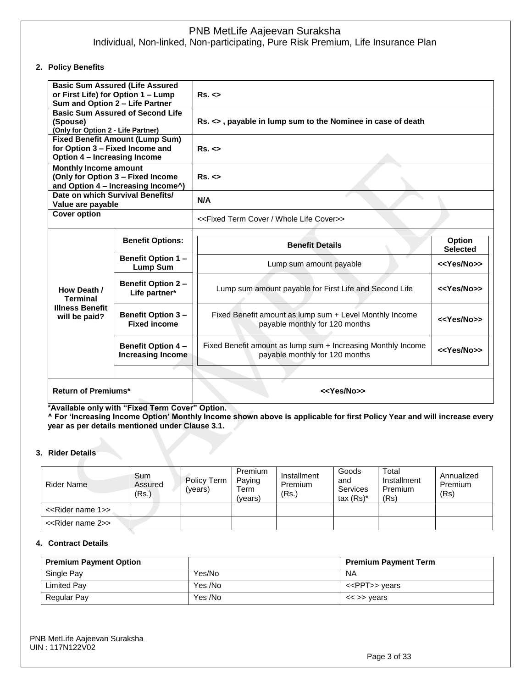#### **2. Policy Benefits**

| Sum and Option 2 - Life Partner                                                                                  | <b>Basic Sum Assured (Life Assured</b><br>or First Life) for Option 1 - Lump | Rs. <                                                                                          |                           |  |  |
|------------------------------------------------------------------------------------------------------------------|------------------------------------------------------------------------------|------------------------------------------------------------------------------------------------|---------------------------|--|--|
| <b>Basic Sum Assured of Second Life</b><br>(Spouse)<br>(Only for Option 2 - Life Partner)                        |                                                                              | Rs. <>, payable in lump sum to the Nominee in case of death                                    |                           |  |  |
| <b>Fixed Benefit Amount (Lump Sum)</b><br>for Option 3 - Fixed Income and<br><b>Option 4 - Increasing Income</b> |                                                                              | Rs. <                                                                                          |                           |  |  |
| <b>Monthly Income amount</b><br>(Only for Option 3 - Fixed Income<br>Rs. <<br>and Option 4 – Increasing Income^) |                                                                              |                                                                                                |                           |  |  |
| Date on which Survival Benefits/<br>Value are payable                                                            |                                                                              | N/A                                                                                            |                           |  |  |
| <b>Cover option</b>                                                                                              |                                                                              | < <fixed cover="" life="" term="" whole="">&gt;</fixed>                                        |                           |  |  |
|                                                                                                                  | <b>Benefit Options:</b>                                                      | <b>Benefit Details</b>                                                                         | Option<br><b>Selected</b> |  |  |
|                                                                                                                  | Benefit Option 1 -<br><b>Lump Sum</b>                                        | Lump sum amount payable                                                                        | < <yes no="">&gt;</yes>   |  |  |
| How Death /<br><b>Terminal</b>                                                                                   | <b>Benefit Option 2 -</b><br>Life partner*                                   | Lump sum amount payable for First Life and Second Life                                         | < <yes no="">&gt;</yes>   |  |  |
| <b>Illness Benefit</b><br>will be paid?                                                                          | <b>Benefit Option 3-</b><br><b>Fixed income</b>                              | Fixed Benefit amount as lump sum + Level Monthly Income<br>payable monthly for 120 months      | < <yes no="">&gt;</yes>   |  |  |
|                                                                                                                  | <b>Benefit Option 4-</b><br><b>Increasing Income</b>                         | Fixed Benefit amount as lump sum + Increasing Monthly Income<br>payable monthly for 120 months | < <yes no="">&gt;</yes>   |  |  |
| <b>Return of Premiums*</b>                                                                                       |                                                                              | < <yes no="">&gt;</yes>                                                                        |                           |  |  |

**\*Available only with "Fixed Term Cover" Option.**

**^ For 'Increasing Income Option' Monthly Income shown above is applicable for first Policy Year and will increase every year as per details mentioned under Clause 3.1.**

#### **3. Rider Details**

| Rider Name                         | Sum<br>Assured<br>(Rs.) | Policy Term<br>(vears) | Premium<br>Paying<br>Term<br>(vears) | Installment<br>Premium<br>(Rs.) | Goods<br>and<br>Services<br>tax $(Rs)^*$ | Total<br>Installment<br>Premium<br>(Rs) | Annualized<br>Premium<br>(Rs) |
|------------------------------------|-------------------------|------------------------|--------------------------------------|---------------------------------|------------------------------------------|-----------------------------------------|-------------------------------|
| < <rider 1="" name="">&gt;</rider> |                         |                        |                                      |                                 |                                          |                                         |                               |
| < <rider 2="" name="">&gt;</rider> |                         |                        |                                      |                                 |                                          |                                         |                               |

#### **4. Contract Details**

| <b>Premium Payment Option</b> |         | <b>Premium Payment Term</b> |
|-------------------------------|---------|-----------------------------|
| Single Pay                    | Yes/No  | <b>NA</b>                   |
| Limited Pay                   | Yes /No | < <ppt>&gt; years</ppt>     |
| Regular Pay                   | Yes /No | $\lt$ >> years              |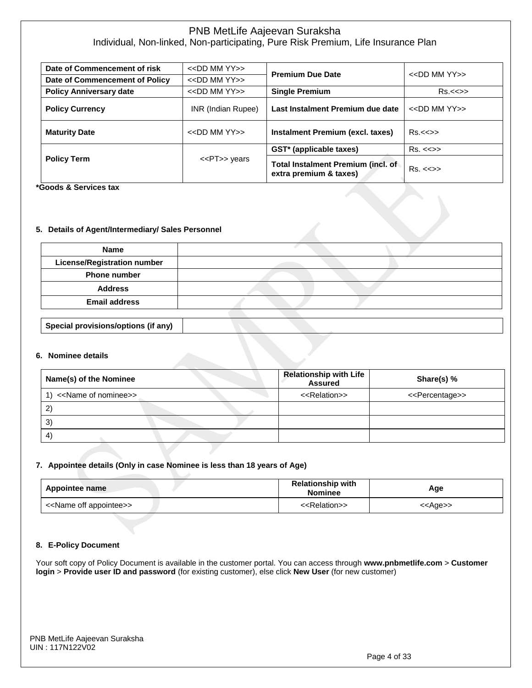| Date of Commencement of risk   | $<<$ DD MM YY $>>$    | <b>Premium Due Date</b>                                      | $<<$ DD MM YY $>>$      |  |
|--------------------------------|-----------------------|--------------------------------------------------------------|-------------------------|--|
| Date of Commencement of Policy | $<<$ DD MM YY $>>$    |                                                              |                         |  |
| <b>Policy Anniversary date</b> | $<<$ DD MM YY $>>$    | <b>Single Premium</b>                                        | $Rs.<\ll>>$             |  |
| <b>Policy Currency</b>         | INR (Indian Rupee)    | Last Instalment Premium due date                             | $<<$ DD MM YY $>>$      |  |
| <b>Maturity Date</b>           | $<<$ DD MM YY $>>$    | Instalment Premium (excl. taxes)                             | $Rs.<\ll>>$             |  |
|                                |                       | GST* (applicable taxes)                                      | $Rs. < \llgt>$          |  |
| <b>Policy Term</b>             | < <pt>&gt; years</pt> | Total Instalment Premium (incl. of<br>extra premium & taxes) | $Rs. < \Leftrightarrow$ |  |

**\*Goods & Services tax**

#### **5. Details of Agent/Intermediary/ Sales Personnel**

**Special provisions/options (if any)**

| <b>Name</b>                        |  |
|------------------------------------|--|
| <b>License/Registration number</b> |  |
| <b>Phone number</b>                |  |
| <b>Address</b>                     |  |
| <b>Email address</b>               |  |
|                                    |  |

#### **6. Nominee details**

| Name(s) of the Nominee               | <b>Relationship with Life</b><br><b>Assured</b> | Share(s) %                      |
|--------------------------------------|-------------------------------------------------|---------------------------------|
| < <name nominee="" of="">&gt;</name> | < <relation>&gt;</relation>                     | < <percentage>&gt;</percentage> |
| 2                                    |                                                 |                                 |
| $\mathbf{3}^{\circ}$                 |                                                 |                                 |
| $\overline{4}$                       |                                                 |                                 |

#### **7. Appointee details (Only in case Nominee is less than 18 years of Age)**

| Appointee name                          | <b>Relationship with</b><br><b>Nominee</b> | Age               |
|-----------------------------------------|--------------------------------------------|-------------------|
| < <name appointee="" off="">&gt;</name> | < <relation>&gt;</relation>                | < <age>&gt;</age> |

#### **8. E-Policy Document**

Your soft copy of Policy Document is available in the customer portal. You can access through **www.pnbmetlife.com** > **Customer login** > **Provide user ID and password** (for existing customer), else click **New User** (for new customer)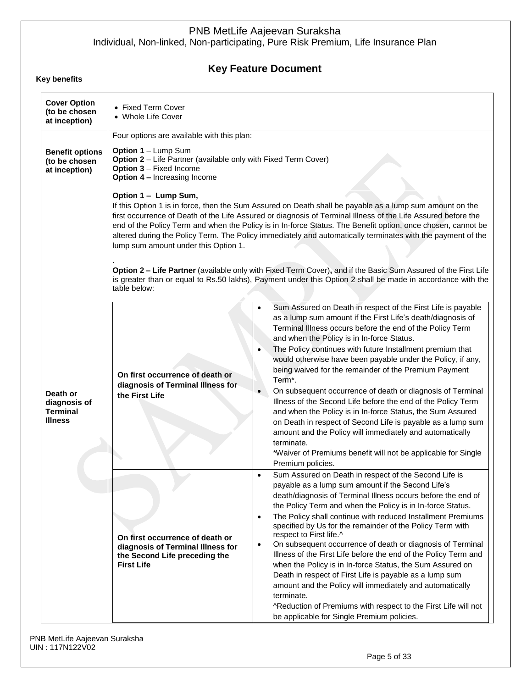# **Key Feature Document**

### **Key benefits**

| <b>Cover Option</b><br>(to be chosen<br>at inception)         | • Fixed Term Cover<br>• Whole Life Cover                                                                                                                                                                     |                                                                                                                                                                                                                                                                                                                                                                                                                                                                                                                                                                                                                                                                                                                                                                                                                                                                                                                                                                                                                                                                                                                                                     |  |
|---------------------------------------------------------------|--------------------------------------------------------------------------------------------------------------------------------------------------------------------------------------------------------------|-----------------------------------------------------------------------------------------------------------------------------------------------------------------------------------------------------------------------------------------------------------------------------------------------------------------------------------------------------------------------------------------------------------------------------------------------------------------------------------------------------------------------------------------------------------------------------------------------------------------------------------------------------------------------------------------------------------------------------------------------------------------------------------------------------------------------------------------------------------------------------------------------------------------------------------------------------------------------------------------------------------------------------------------------------------------------------------------------------------------------------------------------------|--|
| <b>Benefit options</b><br>(to be chosen<br>at inception)      | Four options are available with this plan:<br>Option 1 - Lump Sum<br>Option 2 - Life Partner (available only with Fixed Term Cover)<br><b>Option 3 - Fixed Income</b><br><b>Option 4 - Increasing Income</b> |                                                                                                                                                                                                                                                                                                                                                                                                                                                                                                                                                                                                                                                                                                                                                                                                                                                                                                                                                                                                                                                                                                                                                     |  |
|                                                               | Option 1 - Lump Sum,<br>lump sum amount under this Option 1.<br>table below:                                                                                                                                 | If this Option 1 is in force, then the Sum Assured on Death shall be payable as a lump sum amount on the<br>first occurrence of Death of the Life Assured or diagnosis of Terminal Illness of the Life Assured before the<br>end of the Policy Term and when the Policy is in In-force Status. The Benefit option, once chosen, cannot be<br>altered during the Policy Term. The Policy immediately and automatically terminates with the payment of the<br>Option 2 - Life Partner (available only with Fixed Term Cover), and if the Basic Sum Assured of the First Life<br>is greater than or equal to Rs.50 lakhs), Payment under this Option 2 shall be made in accordance with the                                                                                                                                                                                                                                                                                                                                                                                                                                                            |  |
| Death or<br>diagnosis of<br><b>Terminal</b><br><b>Illness</b> | On first occurrence of death or<br>diagnosis of Terminal Illness for<br>the First Life                                                                                                                       | Sum Assured on Death in respect of the First Life is payable<br>$\bullet$<br>as a lump sum amount if the First Life's death/diagnosis of<br>Terminal Illness occurs before the end of the Policy Term<br>and when the Policy is in In-force Status.<br>The Policy continues with future Installment premium that<br>$\bullet$<br>would otherwise have been payable under the Policy, if any,<br>being waived for the remainder of the Premium Payment<br>Term*.<br>On subsequent occurrence of death or diagnosis of Terminal<br>Illness of the Second Life before the end of the Policy Term<br>and when the Policy is in In-force Status, the Sum Assured<br>on Death in respect of Second Life is payable as a lump sum<br>amount and the Policy will immediately and automatically<br>terminate.<br>*Waiver of Premiums benefit will not be applicable for Single<br>Premium policies.<br>Sum Assured on Death in respect of the Second Life is<br>$\bullet$<br>payable as a lump sum amount if the Second Life's<br>death/diagnosis of Terminal Illness occurs before the end of<br>the Policy Term and when the Policy is in In-force Status. |  |
|                                                               | On first occurrence of death or<br>diagnosis of Terminal Illness for<br>the Second Life preceding the<br><b>First Life</b>                                                                                   | The Policy shall continue with reduced Installment Premiums<br>$\bullet$<br>specified by Us for the remainder of the Policy Term with<br>respect to First life.^<br>On subsequent occurrence of death or diagnosis of Terminal<br>$\bullet$<br>Illness of the First Life before the end of the Policy Term and<br>when the Policy is in In-force Status, the Sum Assured on<br>Death in respect of First Life is payable as a lump sum<br>amount and the Policy will immediately and automatically<br>terminate.<br>^Reduction of Premiums with respect to the First Life will not<br>be applicable for Single Premium policies.                                                                                                                                                                                                                                                                                                                                                                                                                                                                                                                    |  |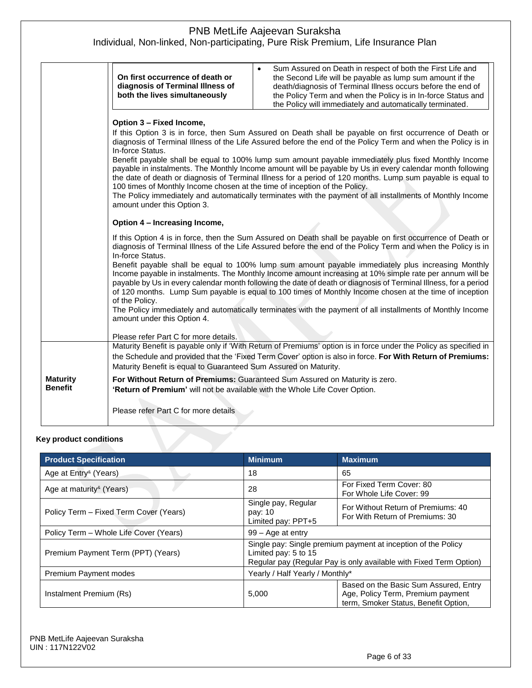|                                                                                                                                                                                                                                                                                                                                                                                                                                                                                                                                                                                                                                                                                                                                                                                                                                          | Sum Assured on Death in respect of both the First Life and<br>On first occurrence of death or<br>the Second Life will be payable as lump sum amount if the<br>diagnosis of Terminal Illness of<br>death/diagnosis of Terminal Illness occurs before the end of<br>both the lives simultaneously<br>the Policy Term and when the Policy is in In-force Status and<br>the Policy will immediately and automatically terminated.                                                                                                                                                                                                                                                                                                                                                                                                                                                                      |  |
|------------------------------------------------------------------------------------------------------------------------------------------------------------------------------------------------------------------------------------------------------------------------------------------------------------------------------------------------------------------------------------------------------------------------------------------------------------------------------------------------------------------------------------------------------------------------------------------------------------------------------------------------------------------------------------------------------------------------------------------------------------------------------------------------------------------------------------------|----------------------------------------------------------------------------------------------------------------------------------------------------------------------------------------------------------------------------------------------------------------------------------------------------------------------------------------------------------------------------------------------------------------------------------------------------------------------------------------------------------------------------------------------------------------------------------------------------------------------------------------------------------------------------------------------------------------------------------------------------------------------------------------------------------------------------------------------------------------------------------------------------|--|
| Option 3 - Fixed Income,<br>If this Option 3 is in force, then Sum Assured on Death shall be payable on first occurrence of Death or<br>diagnosis of Terminal Illness of the Life Assured before the end of the Policy Term and when the Policy is in<br>In-force Status.<br>Benefit payable shall be equal to 100% lump sum amount payable immediately plus fixed Monthly Income<br>payable in instalments. The Monthly Income amount will be payable by Us in every calendar month following<br>the date of death or diagnosis of Terminal Illness for a period of 120 months. Lump sum payable is equal to<br>100 times of Monthly Income chosen at the time of inception of the Policy.<br>The Policy immediately and automatically terminates with the payment of all installments of Monthly Income<br>amount under this Option 3. |                                                                                                                                                                                                                                                                                                                                                                                                                                                                                                                                                                                                                                                                                                                                                                                                                                                                                                    |  |
|                                                                                                                                                                                                                                                                                                                                                                                                                                                                                                                                                                                                                                                                                                                                                                                                                                          | Option 4 - Increasing Income,<br>If this Option 4 is in force, then the Sum Assured on Death shall be payable on first occurrence of Death or<br>diagnosis of Terminal Illness of the Life Assured before the end of the Policy Term and when the Policy is in<br>In-force Status.<br>Benefit payable shall be equal to 100% lump sum amount payable immediately plus increasing Monthly<br>Income payable in instalments. The Monthly Income amount increasing at 10% simple rate per annum will be<br>payable by Us in every calendar month following the date of death or diagnosis of Terminal Illness, for a period<br>of 120 months. Lump Sum payable is equal to 100 times of Monthly Income chosen at the time of inception<br>of the Policy.<br>The Policy immediately and automatically terminates with the payment of all installments of Monthly Income<br>amount under this Option 4. |  |
|                                                                                                                                                                                                                                                                                                                                                                                                                                                                                                                                                                                                                                                                                                                                                                                                                                          | Please refer Part C for more details.<br>Maturity Benefit is payable only if 'With Return of Premiums' option is in force under the Policy as specified in<br>the Schedule and provided that the 'Fixed Term Cover' option is also in force. For With Return of Premiums:<br>Maturity Benefit is equal to Guaranteed Sum Assured on Maturity.                                                                                                                                                                                                                                                                                                                                                                                                                                                                                                                                                      |  |
| <b>Maturity</b><br><b>Benefit</b>                                                                                                                                                                                                                                                                                                                                                                                                                                                                                                                                                                                                                                                                                                                                                                                                        | For Without Return of Premiums: Guaranteed Sum Assured on Maturity is zero.<br>'Return of Premium' will not be available with the Whole Life Cover Option.<br>Please refer Part C for more details                                                                                                                                                                                                                                                                                                                                                                                                                                                                                                                                                                                                                                                                                                 |  |

### **Key product conditions**

| <b>Product Specification</b>             | <b>Minimum</b>                                                                                                                                              | <b>Maximum</b>                                                                                                     |  |
|------------------------------------------|-------------------------------------------------------------------------------------------------------------------------------------------------------------|--------------------------------------------------------------------------------------------------------------------|--|
| Age at Entry <sup>&amp;</sup> (Years)    | 18                                                                                                                                                          | 65                                                                                                                 |  |
| Age at maturity <sup>&amp;</sup> (Years) | 28                                                                                                                                                          | For Fixed Term Cover: 80<br>For Whole Life Cover: 99                                                               |  |
| Policy Term – Fixed Term Cover (Years)   | Single pay, Regular<br>pay: 10<br>Limited pay: PPT+5                                                                                                        | For Without Return of Premiums: 40<br>For With Return of Premiums: 30                                              |  |
| Policy Term - Whole Life Cover (Years)   | $99 - Aqe$ at entry                                                                                                                                         |                                                                                                                    |  |
| Premium Payment Term (PPT) (Years)       | Single pay: Single premium payment at inception of the Policy<br>Limited pay: 5 to 15<br>Regular pay (Regular Pay is only available with Fixed Term Option) |                                                                                                                    |  |
| <b>Premium Payment modes</b>             | Yearly / Half Yearly / Monthly*                                                                                                                             |                                                                                                                    |  |
| Instalment Premium (Rs)                  | 5,000                                                                                                                                                       | Based on the Basic Sum Assured, Entry<br>Age, Policy Term, Premium payment<br>term, Smoker Status, Benefit Option, |  |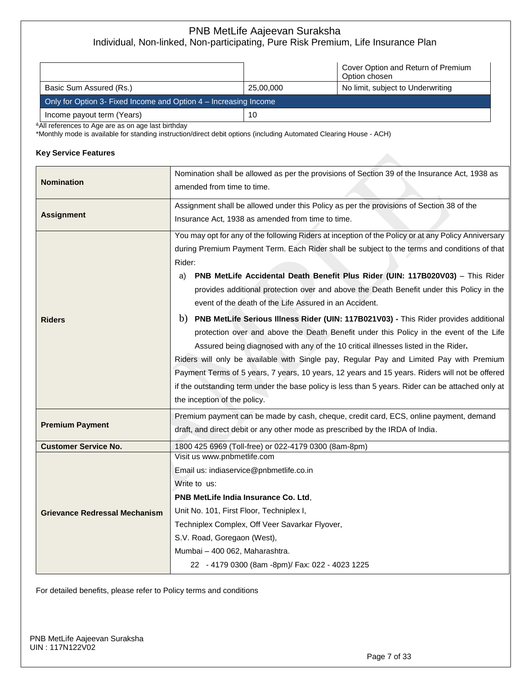|                                                                    |           | Cover Option and Return of Premium<br>Option chosen |
|--------------------------------------------------------------------|-----------|-----------------------------------------------------|
| Basic Sum Assured (Rs.)                                            | 25,00,000 | No limit, subject to Underwriting                   |
| Only for Option 3- Fixed Income and Option 4 – Increasing Income   |           |                                                     |
| Income payout term (Years)                                         | 10        |                                                     |
| <sup>&amp;</sup> All references to Age are as on age last birthday |           |                                                     |

\*Monthly mode is available for standing instruction/direct debit options (including Automated Clearing House - ACH)

#### **Key Service Features**

| <b>Nomination</b>                    | Nomination shall be allowed as per the provisions of Section 39 of the Insurance Act, 1938 as<br>amended from time to time. |  |  |  |  |
|--------------------------------------|-----------------------------------------------------------------------------------------------------------------------------|--|--|--|--|
|                                      |                                                                                                                             |  |  |  |  |
|                                      | Assignment shall be allowed under this Policy as per the provisions of Section 38 of the                                    |  |  |  |  |
| <b>Assignment</b>                    | Insurance Act, 1938 as amended from time to time.                                                                           |  |  |  |  |
|                                      | You may opt for any of the following Riders at inception of the Policy or at any Policy Anniversary                         |  |  |  |  |
|                                      | during Premium Payment Term. Each Rider shall be subject to the terms and conditions of that                                |  |  |  |  |
|                                      | Rider:                                                                                                                      |  |  |  |  |
|                                      | PNB MetLife Accidental Death Benefit Plus Rider (UIN: 117B020V03) - This Rider<br>a)                                        |  |  |  |  |
|                                      | provides additional protection over and above the Death Benefit under this Policy in the                                    |  |  |  |  |
|                                      | event of the death of the Life Assured in an Accident.                                                                      |  |  |  |  |
| <b>Riders</b>                        | b) PNB MetLife Serious Illness Rider (UIN: 117B021V03) - This Rider provides additional                                     |  |  |  |  |
|                                      | protection over and above the Death Benefit under this Policy in the event of the Life                                      |  |  |  |  |
|                                      | Assured being diagnosed with any of the 10 critical illnesses listed in the Rider.                                          |  |  |  |  |
|                                      | Riders will only be available with Single pay, Regular Pay and Limited Pay with Premium                                     |  |  |  |  |
|                                      | Payment Terms of 5 years, 7 years, 10 years, 12 years and 15 years. Riders will not be offered                              |  |  |  |  |
|                                      | if the outstanding term under the base policy is less than 5 years. Rider can be attached only at                           |  |  |  |  |
|                                      | the inception of the policy.                                                                                                |  |  |  |  |
|                                      |                                                                                                                             |  |  |  |  |
|                                      | Premium payment can be made by cash, cheque, credit card, ECS, online payment, demand                                       |  |  |  |  |
| <b>Premium Payment</b>               | draft, and direct debit or any other mode as prescribed by the IRDA of India.                                               |  |  |  |  |
| <b>Customer Service No.</b>          | 1800 425 6969 (Toll-free) or 022-4179 0300 (8am-8pm)                                                                        |  |  |  |  |
|                                      | Visit us www.pnbmetlife.com                                                                                                 |  |  |  |  |
|                                      | Email us: indiaservice@pnbmetlife.co.in                                                                                     |  |  |  |  |
|                                      | Write to us:                                                                                                                |  |  |  |  |
|                                      | PNB MetLife India Insurance Co. Ltd,                                                                                        |  |  |  |  |
| <b>Grievance Redressal Mechanism</b> | Unit No. 101, First Floor, Techniplex I,                                                                                    |  |  |  |  |
|                                      | Techniplex Complex, Off Veer Savarkar Flyover,                                                                              |  |  |  |  |
|                                      | S.V. Road, Goregaon (West),                                                                                                 |  |  |  |  |
|                                      | Mumbai - 400 062, Maharashtra.                                                                                              |  |  |  |  |
|                                      | 22 - 4179 0300 (8am -8pm)/ Fax: 022 - 4023 1225                                                                             |  |  |  |  |
|                                      |                                                                                                                             |  |  |  |  |

For detailed benefits, please refer to Policy terms and conditions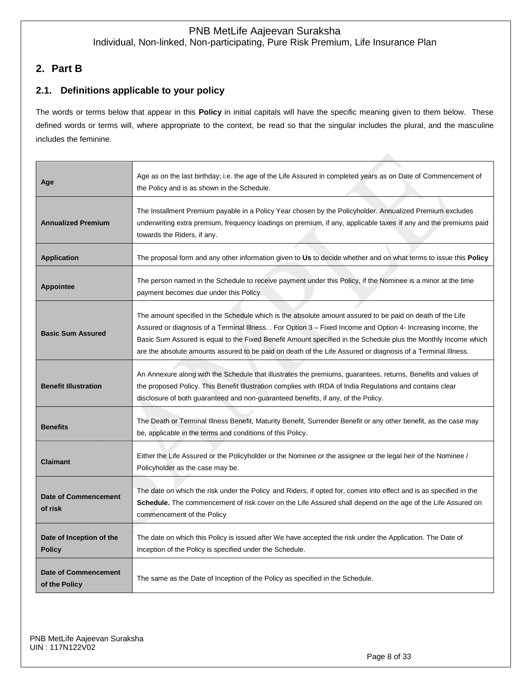# **2. Part B**

# **2.1. Definitions applicable to your policy**

The words or terms below that appear in this **Policy** in initial capitals will have the specific meaning given to them below. These defined words or terms will, where appropriate to the context, be read so that the singular includes the plural, and the masculine includes the feminine.

| Age                                          | Age as on the last birthday; i.e. the age of the Life Assured in completed years as on Date of Commencement of<br>the Policy and is as shown in the Schedule.                                                                                                                                                                                                                                                                                                 |
|----------------------------------------------|---------------------------------------------------------------------------------------------------------------------------------------------------------------------------------------------------------------------------------------------------------------------------------------------------------------------------------------------------------------------------------------------------------------------------------------------------------------|
| <b>Annualized Premium</b>                    | The Installment Premium payable in a Policy Year chosen by the Policyholder. Annualized Premium excludes<br>underwriting extra premium, frequency loadings on premium, if any, applicable taxes if any and the premiums paid<br>towards the Riders, if any.                                                                                                                                                                                                   |
| <b>Application</b>                           | The proposal form and any other information given to Us to decide whether and on what terms to issue this <b>Policy</b>                                                                                                                                                                                                                                                                                                                                       |
| <b>Appointee</b>                             | The person named in the Schedule to receive payment under this Policy, if the Nominee is a minor at the time<br>payment becomes due under this Policy.                                                                                                                                                                                                                                                                                                        |
| <b>Basic Sum Assured</b>                     | The amount specified in the Schedule which is the absolute amount assured to be paid on death of the Life<br>Assured or diagnosis of a Terminal Illness. . For Option 3 – Fixed Income and Option 4- Increasing Income, the<br>Basic Sum Assured is equal to the Fixed Benefit Amount specified in the Schedule plus the Monthly Income which<br>are the absolute amounts assured to be paid on death of the Life Assured or diagnosis of a Terminal Illness. |
| <b>Benefit Illustration</b>                  | An Annexure along with the Schedule that illustrates the premiums, guarantees, returns, Benefits and values of<br>the proposed Policy. This Benefit Illustration complies with IRDA of India Regulations and contains clear<br>disclosure of both guaranteed and non-guaranteed benefits, if any, of the Policy.                                                                                                                                              |
| <b>Benefits</b>                              | The Death or Terminal Illness Benefit, Maturity Benefit, Surrender Benefit or any other benefit, as the case may<br>be, applicable in the terms and conditions of this Policy.                                                                                                                                                                                                                                                                                |
| <b>Claimant</b>                              | Either the Life Assured or the Policyholder or the Nominee or the assignee or the legal heir of the Nominee /<br>Policyholder as the case may be.                                                                                                                                                                                                                                                                                                             |
| Date of Commencement<br>of risk              | The date on which the risk under the Policy and Riders, if opted for, comes into effect and is as specified in the<br><b>Schedule.</b> The commencement of risk cover on the Life Assured shall depend on the age of the Life Assured on<br>commencement of the Policy                                                                                                                                                                                        |
| Date of Inception of the<br><b>Policy</b>    | The date on which this Policy is issued after We have accepted the risk under the Application. The Date of<br>Inception of the Policy is specified under the Schedule.                                                                                                                                                                                                                                                                                        |
| <b>Date of Commencement</b><br>of the Policy | The same as the Date of Inception of the Policy as specified in the Schedule.                                                                                                                                                                                                                                                                                                                                                                                 |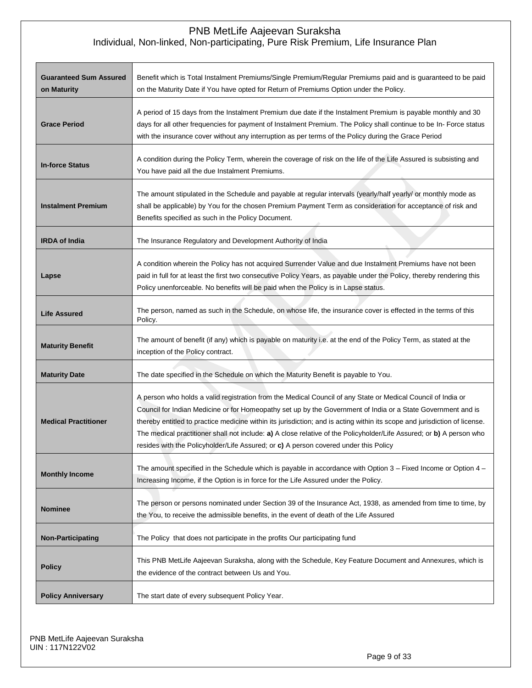| <b>Guaranteed Sum Assured</b><br>on Maturity | Benefit which is Total Instalment Premiums/Single Premium/Regular Premiums paid and is guaranteed to be paid<br>on the Maturity Date if You have opted for Return of Premiums Option under the Policy.                                                                                                                                                                                                                                                                                                                                                                     |  |
|----------------------------------------------|----------------------------------------------------------------------------------------------------------------------------------------------------------------------------------------------------------------------------------------------------------------------------------------------------------------------------------------------------------------------------------------------------------------------------------------------------------------------------------------------------------------------------------------------------------------------------|--|
| <b>Grace Period</b>                          | A period of 15 days from the Instalment Premium due date if the Instalment Premium is payable monthly and 30<br>days for all other frequencies for payment of Instalment Premium. The Policy shall continue to be In- Force status<br>with the insurance cover without any interruption as per terms of the Policy during the Grace Period                                                                                                                                                                                                                                 |  |
| <b>In-force Status</b>                       | A condition during the Policy Term, wherein the coverage of risk on the life of the Life Assured is subsisting and<br>You have paid all the due Instalment Premiums.                                                                                                                                                                                                                                                                                                                                                                                                       |  |
| <b>Instalment Premium</b>                    | The amount stipulated in the Schedule and payable at regular intervals (yearly/half yearly/ or monthly mode as<br>shall be applicable) by You for the chosen Premium Payment Term as consideration for acceptance of risk and<br>Benefits specified as such in the Policy Document.                                                                                                                                                                                                                                                                                        |  |
| <b>IRDA of India</b>                         | The Insurance Regulatory and Development Authority of India                                                                                                                                                                                                                                                                                                                                                                                                                                                                                                                |  |
| Lapse                                        | A condition wherein the Policy has not acquired Surrender Value and due Instalment Premiums have not been<br>paid in full for at least the first two consecutive Policy Years, as payable under the Policy, thereby rendering this<br>Policy unenforceable. No benefits will be paid when the Policy is in Lapse status.                                                                                                                                                                                                                                                   |  |
| <b>Life Assured</b>                          | The person, named as such in the Schedule, on whose life, the insurance cover is effected in the terms of this<br>Policy.                                                                                                                                                                                                                                                                                                                                                                                                                                                  |  |
| <b>Maturity Benefit</b>                      | The amount of benefit (if any) which is payable on maturity i.e. at the end of the Policy Term, as stated at the<br>inception of the Policy contract.                                                                                                                                                                                                                                                                                                                                                                                                                      |  |
| <b>Maturity Date</b>                         | The date specified in the Schedule on which the Maturity Benefit is payable to You.                                                                                                                                                                                                                                                                                                                                                                                                                                                                                        |  |
| <b>Medical Practitioner</b>                  | A person who holds a valid registration from the Medical Council of any State or Medical Council of India or<br>Council for Indian Medicine or for Homeopathy set up by the Government of India or a State Government and is<br>thereby entitled to practice medicine within its jurisdiction; and is acting within its scope and jurisdiction of license.<br>The medical practitioner shall not include: a) A close relative of the Policyholder/Life Assured; or b) A person who<br>resides with the Policyholder/Life Assured; or c) A person covered under this Policy |  |
| <b>Monthly Income</b>                        | The amount specified in the Schedule which is payable in accordance with Option 3 – Fixed Income or Option 4 –<br>Increasing Income, if the Option is in force for the Life Assured under the Policy.                                                                                                                                                                                                                                                                                                                                                                      |  |
| <b>Nominee</b>                               | The person or persons nominated under Section 39 of the Insurance Act, 1938, as amended from time to time, by<br>the You, to receive the admissible benefits, in the event of death of the Life Assured                                                                                                                                                                                                                                                                                                                                                                    |  |
| <b>Non-Participating</b>                     | The Policy that does not participate in the profits Our participating fund                                                                                                                                                                                                                                                                                                                                                                                                                                                                                                 |  |
| <b>Policy</b>                                | This PNB MetLife Aajeevan Suraksha, along with the Schedule, Key Feature Document and Annexures, which is<br>the evidence of the contract between Us and You.                                                                                                                                                                                                                                                                                                                                                                                                              |  |
| <b>Policy Anniversary</b>                    | The start date of every subsequent Policy Year.                                                                                                                                                                                                                                                                                                                                                                                                                                                                                                                            |  |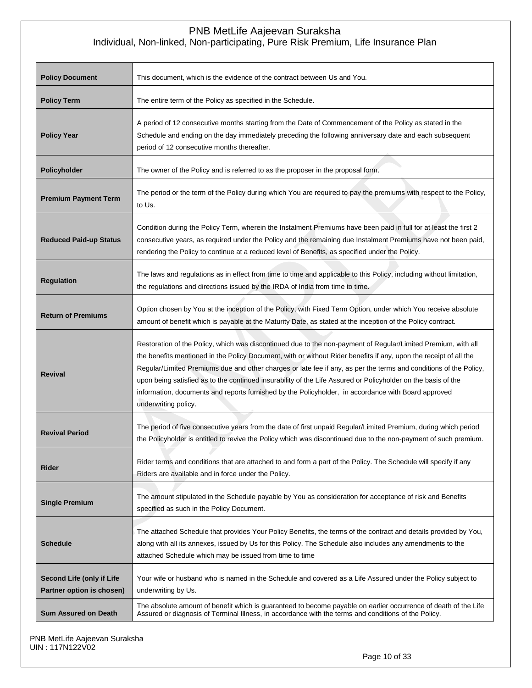| <b>Policy Document</b>                                        | This document, which is the evidence of the contract between Us and You.                                                                                                                                                                                                                                                                                                                                                                                                                                                                                                                                |  |
|---------------------------------------------------------------|---------------------------------------------------------------------------------------------------------------------------------------------------------------------------------------------------------------------------------------------------------------------------------------------------------------------------------------------------------------------------------------------------------------------------------------------------------------------------------------------------------------------------------------------------------------------------------------------------------|--|
| <b>Policy Term</b>                                            | The entire term of the Policy as specified in the Schedule.                                                                                                                                                                                                                                                                                                                                                                                                                                                                                                                                             |  |
| <b>Policy Year</b>                                            | A period of 12 consecutive months starting from the Date of Commencement of the Policy as stated in the<br>Schedule and ending on the day immediately preceding the following anniversary date and each subsequent<br>period of 12 consecutive months thereafter.                                                                                                                                                                                                                                                                                                                                       |  |
| Policyholder                                                  | The owner of the Policy and is referred to as the proposer in the proposal form.                                                                                                                                                                                                                                                                                                                                                                                                                                                                                                                        |  |
| <b>Premium Payment Term</b>                                   | The period or the term of the Policy during which You are required to pay the premiums with respect to the Policy,<br>to Us.                                                                                                                                                                                                                                                                                                                                                                                                                                                                            |  |
| <b>Reduced Paid-up Status</b>                                 | Condition during the Policy Term, wherein the Instalment Premiums have been paid in full for at least the first 2<br>consecutive years, as required under the Policy and the remaining due Instalment Premiums have not been paid,<br>rendering the Policy to continue at a reduced level of Benefits, as specified under the Policy.                                                                                                                                                                                                                                                                   |  |
| <b>Regulation</b>                                             | The laws and regulations as in effect from time to time and applicable to this Policy, including without limitation,<br>the regulations and directions issued by the IRDA of India from time to time.                                                                                                                                                                                                                                                                                                                                                                                                   |  |
| <b>Return of Premiums</b>                                     | Option chosen by You at the inception of the Policy, with Fixed Term Option, under which You receive absolute<br>amount of benefit which is payable at the Maturity Date, as stated at the inception of the Policy contract.                                                                                                                                                                                                                                                                                                                                                                            |  |
| <b>Revival</b>                                                | Restoration of the Policy, which was discontinued due to the non-payment of Regular/Limited Premium, with all<br>the benefits mentioned in the Policy Document, with or without Rider benefits if any, upon the receipt of all the<br>Regular/Limited Premiums due and other charges or late fee if any, as per the terms and conditions of the Policy,<br>upon being satisfied as to the continued insurability of the Life Assured or Policyholder on the basis of the<br>information, documents and reports furnished by the Policyholder, in accordance with Board approved<br>underwriting policy. |  |
| <b>Revival Period</b>                                         | The period of five consecutive years from the date of first unpaid Regular/Limited Premium, during which period<br>the Policyholder is entitled to revive the Policy which was discontinued due to the non-payment of such premium.                                                                                                                                                                                                                                                                                                                                                                     |  |
| <b>Rider</b>                                                  | Rider terms and conditions that are attached to and form a part of the Policy. The Schedule will specify if any<br>Riders are available and in force under the Policy.                                                                                                                                                                                                                                                                                                                                                                                                                                  |  |
| <b>Single Premium</b>                                         | The amount stipulated in the Schedule payable by You as consideration for acceptance of risk and Benefits<br>specified as such in the Policy Document.                                                                                                                                                                                                                                                                                                                                                                                                                                                  |  |
| <b>Schedule</b>                                               | The attached Schedule that provides Your Policy Benefits, the terms of the contract and details provided by You,<br>along with all its annexes, issued by Us for this Policy. The Schedule also includes any amendments to the<br>attached Schedule which may be issued from time to time                                                                                                                                                                                                                                                                                                               |  |
| <b>Second Life (only if Life</b><br>Partner option is chosen) | Your wife or husband who is named in the Schedule and covered as a Life Assured under the Policy subject to<br>underwriting by Us.                                                                                                                                                                                                                                                                                                                                                                                                                                                                      |  |
| <b>Sum Assured on Death</b>                                   | The absolute amount of benefit which is guaranteed to become payable on earlier occurrence of death of the Life<br>Assured or diagnosis of Terminal IIIness, in accordance with the terms and conditions of the Policy.                                                                                                                                                                                                                                                                                                                                                                                 |  |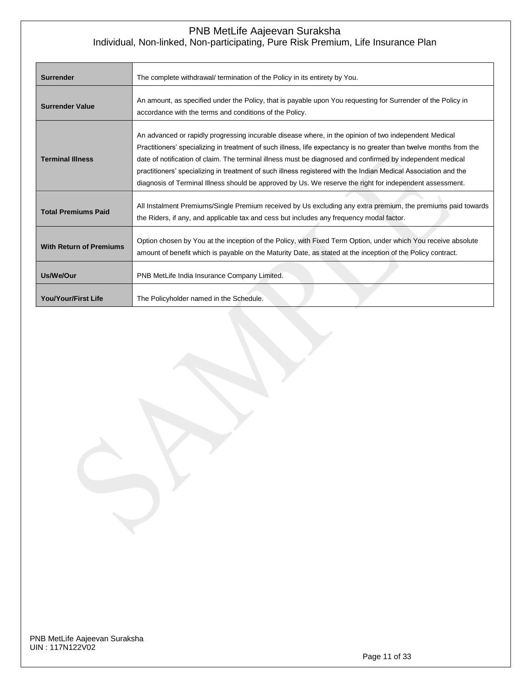| <b>Surrender</b>               | The complete withdrawal/ termination of the Policy in its entirety by You.                                                                                                                                                                                                                                                                                                                                                                                                                                                                                                |
|--------------------------------|---------------------------------------------------------------------------------------------------------------------------------------------------------------------------------------------------------------------------------------------------------------------------------------------------------------------------------------------------------------------------------------------------------------------------------------------------------------------------------------------------------------------------------------------------------------------------|
| <b>Surrender Value</b>         | An amount, as specified under the Policy, that is payable upon You requesting for Surrender of the Policy in<br>accordance with the terms and conditions of the Policy.                                                                                                                                                                                                                                                                                                                                                                                                   |
| <b>Terminal Illness</b>        | An advanced or rapidly progressing incurable disease where, in the opinion of two independent Medical<br>Practitioners' specializing in treatment of such illness, life expectancy is no greater than twelve months from the<br>date of notification of claim. The terminal illness must be diagnosed and confirmed by independent medical<br>practitioners' specializing in treatment of such illness registered with the Indian Medical Association and the<br>diagnosis of Terminal Illness should be approved by Us. We reserve the right for independent assessment. |
| <b>Total Premiums Paid</b>     | All Instalment Premiums/Single Premium received by Us excluding any extra premium, the premiums paid towards<br>the Riders, if any, and applicable tax and cess but includes any frequency modal factor.                                                                                                                                                                                                                                                                                                                                                                  |
| <b>With Return of Premiums</b> | Option chosen by You at the inception of the Policy, with Fixed Term Option, under which You receive absolute<br>amount of benefit which is payable on the Maturity Date, as stated at the inception of the Policy contract.                                                                                                                                                                                                                                                                                                                                              |
| Us/We/Our                      | PNB MetLife India Insurance Company Limited.                                                                                                                                                                                                                                                                                                                                                                                                                                                                                                                              |
| <b>You/Your/First Life</b>     | The Policyholder named in the Schedule.                                                                                                                                                                                                                                                                                                                                                                                                                                                                                                                                   |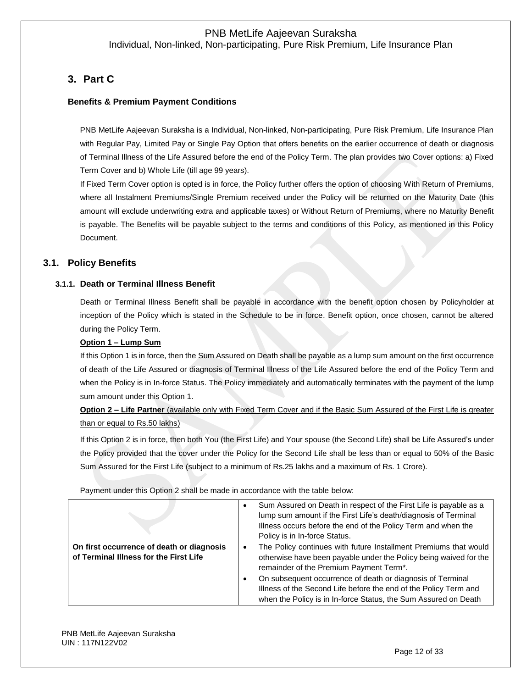# **3. Part C**

### **Benefits & Premium Payment Conditions**

PNB MetLife Aajeevan Suraksha is a Individual, Non-linked, Non-participating, Pure Risk Premium, Life Insurance Plan with Regular Pay, Limited Pay or Single Pay Option that offers benefits on the earlier occurrence of death or diagnosis of Terminal Illness of the Life Assured before the end of the Policy Term. The plan provides two Cover options: a) Fixed Term Cover and b) Whole Life (till age 99 years).

If Fixed Term Cover option is opted is in force, the Policy further offers the option of choosing With Return of Premiums, where all Instalment Premiums/Single Premium received under the Policy will be returned on the Maturity Date (this amount will exclude underwriting extra and applicable taxes) or Without Return of Premiums, where no Maturity Benefit is payable. The Benefits will be payable subject to the terms and conditions of this Policy, as mentioned in this Policy Document.

### **3.1. Policy Benefits**

#### **3.1.1. Death or Terminal Illness Benefit**

Death or Terminal Illness Benefit shall be payable in accordance with the benefit option chosen by Policyholder at inception of the Policy which is stated in the Schedule to be in force. Benefit option, once chosen, cannot be altered during the Policy Term.

#### **Option 1 – Lump Sum**

If this Option 1 is in force, then the Sum Assured on Death shall be payable as a lump sum amount on the first occurrence of death of the Life Assured or diagnosis of Terminal Illness of the Life Assured before the end of the Policy Term and when the Policy is in In-force Status. The Policy immediately and automatically terminates with the payment of the lump sum amount under this Option 1.

**Option 2 – Life Partner** (available only with Fixed Term Cover and if the Basic Sum Assured of the First Life is greater than or equal to Rs.50 lakhs)

If this Option 2 is in force, then both You (the First Life) and Your spouse (the Second Life) shall be Life Assured's under the Policy provided that the cover under the Policy for the Second Life shall be less than or equal to 50% of the Basic Sum Assured for the First Life (subject to a minimum of Rs.25 lakhs and a maximum of Rs. 1 Crore).

Payment under this Option 2 shall be made in accordance with the table below:

| On first occurrence of death or diagnosis<br>of Terminal Illness for the First Life | Sum Assured on Death in respect of the First Life is payable as a<br>lump sum amount if the First Life's death/diagnosis of Terminal<br>Illness occurs before the end of the Policy Term and when the<br>Policy is in In-force Status.<br>The Policy continues with future Installment Premiums that would<br>otherwise have been payable under the Policy being waived for the<br>remainder of the Premium Payment Term*. |
|-------------------------------------------------------------------------------------|----------------------------------------------------------------------------------------------------------------------------------------------------------------------------------------------------------------------------------------------------------------------------------------------------------------------------------------------------------------------------------------------------------------------------|
|                                                                                     | On subsequent occurrence of death or diagnosis of Terminal<br>Illness of the Second Life before the end of the Policy Term and<br>when the Policy is in In-force Status, the Sum Assured on Death                                                                                                                                                                                                                          |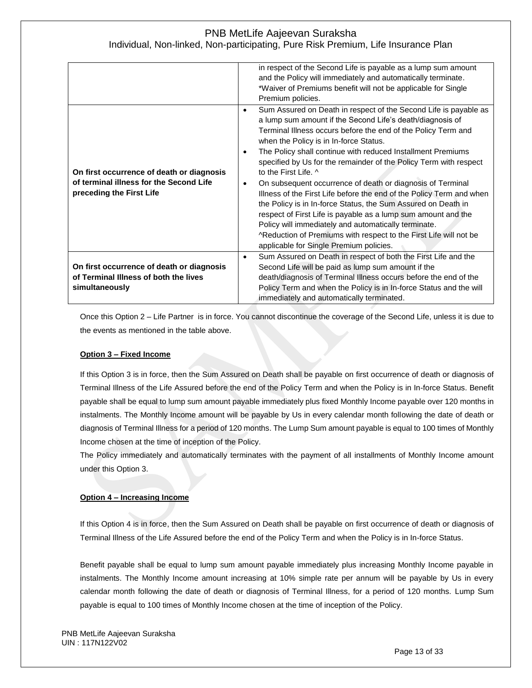|                                                                                      | in respect of the Second Life is payable as a lump sum amount<br>and the Policy will immediately and automatically terminate.<br>*Waiver of Premiums benefit will not be applicable for Single                                                                                                                                                                                                                                                                                            |
|--------------------------------------------------------------------------------------|-------------------------------------------------------------------------------------------------------------------------------------------------------------------------------------------------------------------------------------------------------------------------------------------------------------------------------------------------------------------------------------------------------------------------------------------------------------------------------------------|
|                                                                                      | Premium policies.                                                                                                                                                                                                                                                                                                                                                                                                                                                                         |
| On first occurrence of death or diagnosis<br>of terminal illness for the Second Life | Sum Assured on Death in respect of the Second Life is payable as<br>٠<br>a lump sum amount if the Second Life's death/diagnosis of<br>Terminal Illness occurs before the end of the Policy Term and<br>when the Policy is in In-force Status.<br>The Policy shall continue with reduced Installment Premiums<br>٠<br>specified by Us for the remainder of the Policy Term with respect<br>to the First Life. ^<br>On subsequent occurrence of death or diagnosis of Terminal<br>$\bullet$ |
| preceding the First Life                                                             | Illness of the First Life before the end of the Policy Term and when<br>the Policy is in In-force Status, the Sum Assured on Death in<br>respect of First Life is payable as a lump sum amount and the<br>Policy will immediately and automatically terminate.<br>^Reduction of Premiums with respect to the First Life will not be<br>applicable for Single Premium policies.                                                                                                            |
|                                                                                      | Sum Assured on Death in respect of both the First Life and the<br>$\bullet$                                                                                                                                                                                                                                                                                                                                                                                                               |
| On first occurrence of death or diagnosis                                            | Second Life will be paid as lump sum amount if the                                                                                                                                                                                                                                                                                                                                                                                                                                        |
| of Terminal Illness of both the lives                                                | death/diagnosis of Terminal Illness occurs before the end of the                                                                                                                                                                                                                                                                                                                                                                                                                          |
| simultaneously                                                                       | Policy Term and when the Policy is in In-force Status and the will<br>immediately and automatically terminated.                                                                                                                                                                                                                                                                                                                                                                           |

Once this Option 2 – Life Partner is in force. You cannot discontinue the coverage of the Second Life, unless it is due to the events as mentioned in the table above.

#### **Option 3 – Fixed Income**

If this Option 3 is in force, then the Sum Assured on Death shall be payable on first occurrence of death or diagnosis of Terminal Illness of the Life Assured before the end of the Policy Term and when the Policy is in In-force Status. Benefit payable shall be equal to lump sum amount payable immediately plus fixed Monthly Income payable over 120 months in instalments. The Monthly Income amount will be payable by Us in every calendar month following the date of death or diagnosis of Terminal Illness for a period of 120 months. The Lump Sum amount payable is equal to 100 times of Monthly Income chosen at the time of inception of the Policy.

The Policy immediately and automatically terminates with the payment of all installments of Monthly Income amount under this Option 3.

### **Option 4 – Increasing Income**

If this Option 4 is in force, then the Sum Assured on Death shall be payable on first occurrence of death or diagnosis of Terminal Illness of the Life Assured before the end of the Policy Term and when the Policy is in In-force Status.

Benefit payable shall be equal to lump sum amount payable immediately plus increasing Monthly Income payable in instalments. The Monthly Income amount increasing at 10% simple rate per annum will be payable by Us in every calendar month following the date of death or diagnosis of Terminal Illness, for a period of 120 months. Lump Sum payable is equal to 100 times of Monthly Income chosen at the time of inception of the Policy.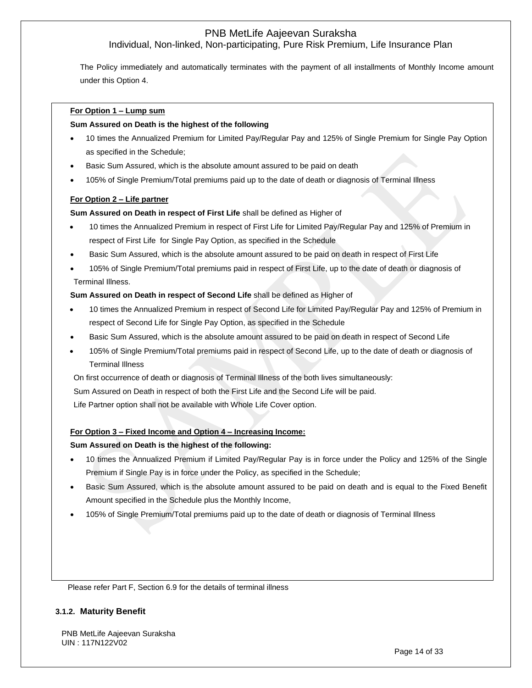Individual, Non-linked, Non-participating, Pure Risk Premium, Life Insurance Plan

The Policy immediately and automatically terminates with the payment of all installments of Monthly Income amount under this Option 4.

#### **For Option 1 – Lump sum**

#### **Sum Assured on Death is the highest of the following**

- 10 times the Annualized Premium for Limited Pay/Regular Pay and 125% of Single Premium for Single Pay Option as specified in the Schedule;
- Basic Sum Assured, which is the absolute amount assured to be paid on death
- 105% of Single Premium/Total premiums paid up to the date of death or diagnosis of Terminal Illness

#### **For Option 2 – Life partner**

#### **Sum Assured on Death in respect of First Life** shall be defined as Higher of

- 10 times the Annualized Premium in respect of First Life for Limited Pay/Regular Pay and 125% of Premium in respect of First Life for Single Pay Option, as specified in the Schedule
- Basic Sum Assured, which is the absolute amount assured to be paid on death in respect of First Life
- 105% of Single Premium/Total premiums paid in respect of First Life, up to the date of death or diagnosis of Terminal Illness.

#### **Sum Assured on Death in respect of Second Life** shall be defined as Higher of

- 10 times the Annualized Premium in respect of Second Life for Limited Pay/Regular Pay and 125% of Premium in respect of Second Life for Single Pay Option, as specified in the Schedule
- Basic Sum Assured, which is the absolute amount assured to be paid on death in respect of Second Life
- 105% of Single Premium/Total premiums paid in respect of Second Life, up to the date of death or diagnosis of Terminal Illness
- On first occurrence of death or diagnosis of Terminal Illness of the both lives simultaneously:
- Sum Assured on Death in respect of both the First Life and the Second Life will be paid.

Life Partner option shall not be available with Whole Life Cover option.

#### **For Option 3 – Fixed Income and Option 4 – Increasing Income:**

#### **Sum Assured on Death is the highest of the following:**

- 10 times the Annualized Premium if Limited Pay/Regular Pay is in force under the Policy and 125% of the Single Premium if Single Pay is in force under the Policy, as specified in the Schedule;
- Basic Sum Assured, which is the absolute amount assured to be paid on death and is equal to the Fixed Benefit Amount specified in the Schedule plus the Monthly Income,
- 105% of Single Premium/Total premiums paid up to the date of death or diagnosis of Terminal Illness

Please refer Part F, Section 6.9 for the details of terminal illness

#### **3.1.2. Maturity Benefit**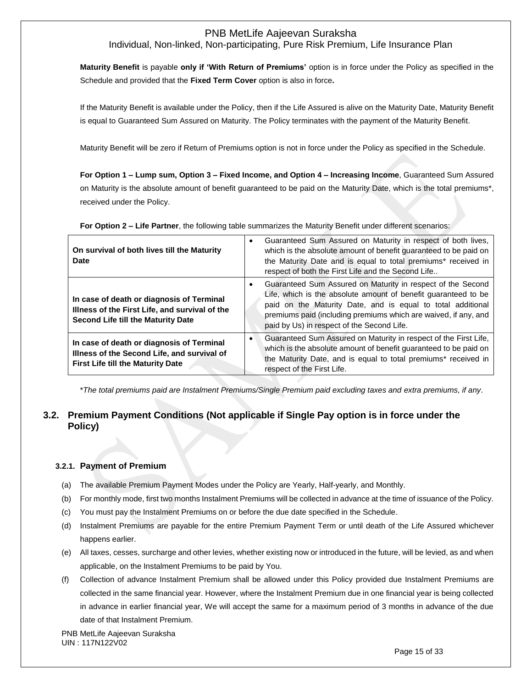# Individual, Non-linked, Non-participating, Pure Risk Premium, Life Insurance Plan

**Maturity Benefit** is payable **only if 'With Return of Premiums'** option is in force under the Policy as specified in the Schedule and provided that the **Fixed Term Cover** option is also in force**.**

If the Maturity Benefit is available under the Policy, then if the Life Assured is alive on the Maturity Date, Maturity Benefit is equal to Guaranteed Sum Assured on Maturity. The Policy terminates with the payment of the Maturity Benefit.

Maturity Benefit will be zero if Return of Premiums option is not in force under the Policy as specified in the Schedule.

**For Option 1 – Lump sum, Option 3 – Fixed Income, and Option 4 – Increasing Income**, Guaranteed Sum Assured on Maturity is the absolute amount of benefit guaranteed to be paid on the Maturity Date, which is the total premiums\*, received under the Policy.

**For Option 2 – Life Partner**, the following table summarizes the Maturity Benefit under different scenarios:

| On survival of both lives till the Maturity<br>Date                                                                                      | Guaranteed Sum Assured on Maturity in respect of both lives,<br>which is the absolute amount of benefit guaranteed to be paid on<br>the Maturity Date and is equal to total premiums* received in<br>respect of both the First Life and the Second Life                                                       |
|------------------------------------------------------------------------------------------------------------------------------------------|---------------------------------------------------------------------------------------------------------------------------------------------------------------------------------------------------------------------------------------------------------------------------------------------------------------|
| In case of death or diagnosis of Terminal<br>Illness of the First Life, and survival of the<br><b>Second Life till the Maturity Date</b> | Guaranteed Sum Assured on Maturity in respect of the Second<br>Life, which is the absolute amount of benefit guaranteed to be<br>paid on the Maturity Date, and is equal to total additional<br>premiums paid (including premiums which are waived, if any, and<br>paid by Us) in respect of the Second Life. |
| In case of death or diagnosis of Terminal<br>Illness of the Second Life, and survival of<br>First Life till the Maturity Date            | Guaranteed Sum Assured on Maturity in respect of the First Life,<br>which is the absolute amount of benefit guaranteed to be paid on<br>the Maturity Date, and is equal to total premiums* received in<br>respect of the First Life.                                                                          |

\**The total premiums paid are Instalment Premiums/Single Premium paid excluding taxes and extra premiums, if any*.

# **3.2. Premium Payment Conditions (Not applicable if Single Pay option is in force under the Policy)**

### **3.2.1. Payment of Premium**

- (a) The available Premium Payment Modes under the Policy are Yearly, Half-yearly, and Monthly.
- (b) For monthly mode, first two months Instalment Premiums will be collected in advance at the time of issuance of the Policy.
- (c) You must pay the Instalment Premiums on or before the due date specified in the Schedule.
- (d) Instalment Premiums are payable for the entire Premium Payment Term or until death of the Life Assured whichever happens earlier.
- (e) All taxes, cesses, surcharge and other levies, whether existing now or introduced in the future, will be levied, as and when applicable, on the Instalment Premiums to be paid by You.
- (f) Collection of advance Instalment Premium shall be allowed under this Policy provided due Instalment Premiums are collected in the same financial year. However, where the Instalment Premium due in one financial year is being collected in advance in earlier financial year, We will accept the same for a maximum period of 3 months in advance of the due date of that Instalment Premium.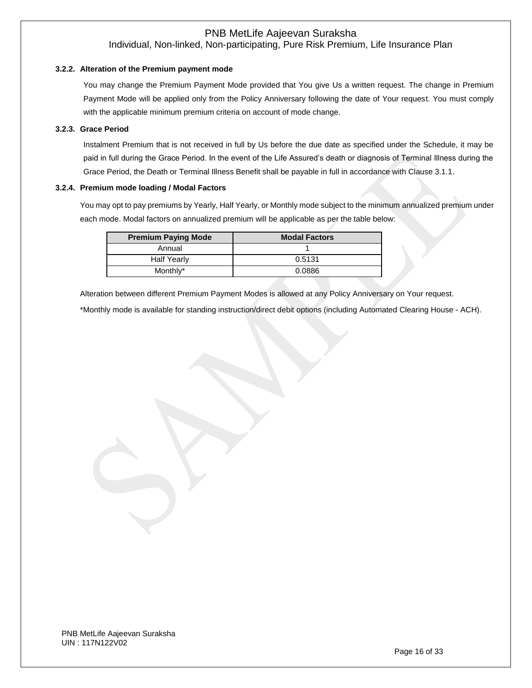#### **3.2.2. Alteration of the Premium payment mode**

You may change the Premium Payment Mode provided that You give Us a written request. The change in Premium Payment Mode will be applied only from the Policy Anniversary following the date of Your request. You must comply with the applicable minimum premium criteria on account of mode change.

#### **3.2.3. Grace Period**

Instalment Premium that is not received in full by Us before the due date as specified under the Schedule, it may be paid in full during the Grace Period. In the event of the Life Assured's death or diagnosis of Terminal Illness during the Grace Period, the Death or Terminal Illness Benefit shall be payable in full in accordance with Clause 3.1.1.

#### **3.2.4. Premium mode loading / Modal Factors**

You may opt to pay premiums by Yearly, Half Yearly, or Monthly mode subject to the minimum annualized premium under each mode. Modal factors on annualized premium will be applicable as per the table below:

| <b>Premium Paying Mode</b> | <b>Modal Factors</b> |
|----------------------------|----------------------|
| Annual                     |                      |
| <b>Half Yearly</b>         | 0.5131               |
| Monthly*                   | 0.0886               |

Alteration between different Premium Payment Modes is allowed at any Policy Anniversary on Your request.

\*Monthly mode is available for standing instruction/direct debit options (including Automated Clearing House - ACH).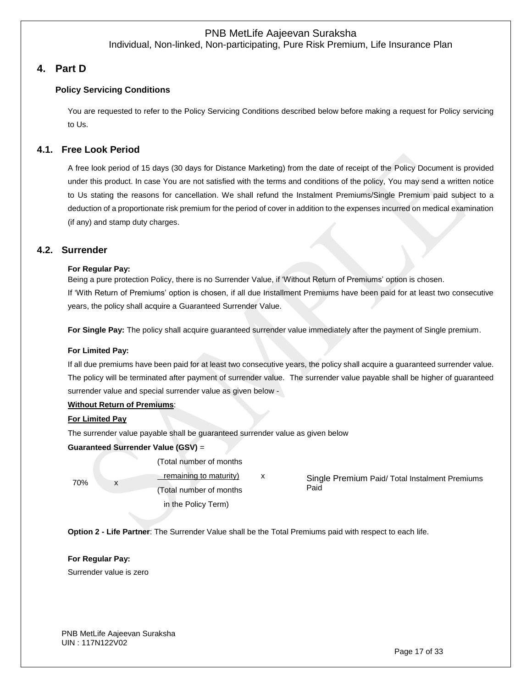# **4. Part D**

### **Policy Servicing Conditions**

You are requested to refer to the Policy Servicing Conditions described below before making a request for Policy servicing to Us.

## **4.1. Free Look Period**

A free look period of 15 days (30 days for Distance Marketing) from the date of receipt of the Policy Document is provided under this product. In case You are not satisfied with the terms and conditions of the policy, You may send a written notice to Us stating the reasons for cancellation. We shall refund the Instalment Premiums/Single Premium paid subject to a deduction of a proportionate risk premium for the period of cover in addition to the expenses incurred on medical examination (if any) and stamp duty charges.

### **4.2. Surrender**

#### **For Regular Pay:**

Being a pure protection Policy, there is no Surrender Value, if 'Without Return of Premiums' option is chosen. If 'With Return of Premiums' option is chosen, if all due Installment Premiums have been paid for at least two consecutive years, the policy shall acquire a Guaranteed Surrender Value.

**For Single Pay:** The policy shall acquire guaranteed surrender value immediately after the payment of Single premium.

#### **For Limited Pay:**

If all due premiums have been paid for at least two consecutive years, the policy shall acquire a guaranteed surrender value. The policy will be terminated after payment of surrender value. The surrender value payable shall be higher of guaranteed surrender value and special surrender value as given below -

#### **Without Return of Premiums**:

#### **For Limited Pay**

The surrender value payable shall be guaranteed surrender value as given below

#### **Guaranteed Surrender Value (GSV)** =

70% x

(Total number of months

remaining to maturity) x (Total number of months in the Policy Term)

Single Premium Paid/ Total Instalment Premiums Paid

**Option 2 - Life Partner**: The Surrender Value shall be the Total Premiums paid with respect to each life.

**For Regular Pay:** Surrender value is zero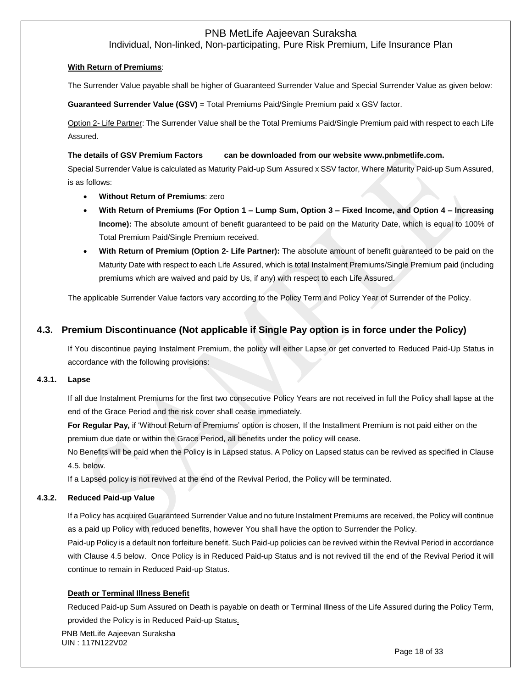Individual, Non-linked, Non-participating, Pure Risk Premium, Life Insurance Plan

#### **With Return of Premiums**:

The Surrender Value payable shall be higher of Guaranteed Surrender Value and Special Surrender Value as given below:

**Guaranteed Surrender Value (GSV)** = Total Premiums Paid/Single Premium paid x GSV factor.

Option 2- Life Partner: The Surrender Value shall be the Total Premiums Paid/Single Premium paid with respect to each Life Assured.

#### **The details of GSV Premium Factors can be downloaded from our website www.pnbmetlife.com.**

Special Surrender Value is calculated as Maturity Paid-up Sum Assured x SSV factor, Where Maturity Paid-up Sum Assured, is as follows:

- **Without Return of Premiums**: zero
- **With Return of Premiums (For Option 1 – Lump Sum, Option 3 – Fixed Income, and Option 4 – Increasing Income):** The absolute amount of benefit guaranteed to be paid on the Maturity Date, which is equal to 100% of Total Premium Paid/Single Premium received.
- **With Return of Premium (Option 2- Life Partner):** The absolute amount of benefit guaranteed to be paid on the Maturity Date with respect to each Life Assured, which is total Instalment Premiums/Single Premium paid (including premiums which are waived and paid by Us, if any) with respect to each Life Assured.

The applicable Surrender Value factors vary according to the Policy Term and Policy Year of Surrender of the Policy.

## **4.3. Premium Discontinuance (Not applicable if Single Pay option is in force under the Policy)**

If You discontinue paying Instalment Premium, the policy will either Lapse or get converted to Reduced Paid-Up Status in accordance with the following provisions:

#### **4.3.1. Lapse**

If all due Instalment Premiums for the first two consecutive Policy Years are not received in full the Policy shall lapse at the end of the Grace Period and the risk cover shall cease immediately.

**For Regular Pay,** if 'Without Return of Premiums' option is chosen, If the Installment Premium is not paid either on the premium due date or within the Grace Period, all benefits under the policy will cease.

No Benefits will be paid when the Policy is in Lapsed status. A Policy on Lapsed status can be revived as specified in Clause 4.5. below.

If a Lapsed policy is not revived at the end of the Revival Period, the Policy will be terminated.

#### **4.3.2. Reduced Paid-up Value**

If a Policy has acquired Guaranteed Surrender Value and no future Instalment Premiums are received, the Policy will continue as a paid up Policy with reduced benefits, however You shall have the option to Surrender the Policy.

Paid-up Policy is a default non forfeiture benefit. Such Paid-up policies can be revived within the Revival Period in accordance with Clause 4.5 below. Once Policy is in Reduced Paid-up Status and is not revived till the end of the Revival Period it will continue to remain in Reduced Paid-up Status.

#### **Death or Terminal Illness Benefit**

Reduced Paid-up Sum Assured on Death is payable on death or Terminal Illness of the Life Assured during the Policy Term, provided the Policy is in Reduced Paid-up Status.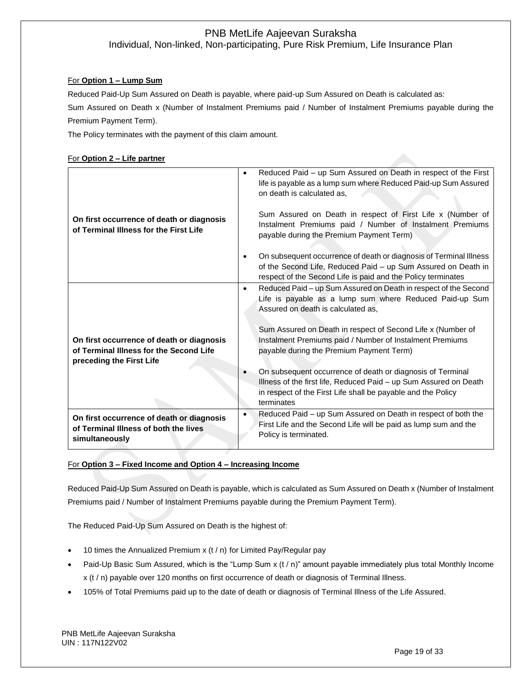#### For **Option 1 – Lump Sum**

Reduced Paid-Up Sum Assured on Death is payable, where paid-up Sum Assured on Death is calculated as: Sum Assured on Death x (Number of Instalment Premiums paid / Number of Instalment Premiums payable during the Premium Payment Term).

The Policy terminates with the payment of this claim amount.

#### For **Option 2 – Life partner**

| On first occurrence of death or diagnosis<br>of Terminal Illness for the First Life                              |           | Reduced Paid - up Sum Assured on Death in respect of the First<br>$\bullet$<br>life is payable as a lump sum where Reduced Paid-up Sum Assured<br>on death is calculated as.<br>Sum Assured on Death in respect of First Life x (Number of<br>Instalment Premiums paid / Number of Instalment Premiums<br>payable during the Premium Payment Term) |  |
|------------------------------------------------------------------------------------------------------------------|-----------|----------------------------------------------------------------------------------------------------------------------------------------------------------------------------------------------------------------------------------------------------------------------------------------------------------------------------------------------------|--|
|                                                                                                                  |           | On subsequent occurrence of death or diagnosis of Terminal Illness<br>of the Second Life, Reduced Paid – up Sum Assured on Death in<br>respect of the Second Life is paid and the Policy terminates                                                                                                                                                |  |
| On first occurrence of death or diagnosis<br>of Terminal Illness for the Second Life<br>preceding the First Life | $\bullet$ | Reduced Paid - up Sum Assured on Death in respect of the Second<br>Life is payable as a lump sum where Reduced Paid-up Sum<br>Assured on death is calculated as.<br>Sum Assured on Death in respect of Second Life x (Number of<br>Instalment Premiums paid / Number of Instalment Premiums<br>payable during the Premium Payment Term)            |  |
|                                                                                                                  |           | On subsequent occurrence of death or diagnosis of Terminal<br>Illness of the first life, Reduced Paid - up Sum Assured on Death<br>in respect of the First Life shall be payable and the Policy<br>terminates                                                                                                                                      |  |
| On first occurrence of death or diagnosis<br>of Terminal Illness of both the lives<br>simultaneously             | $\bullet$ | Reduced Paid - up Sum Assured on Death in respect of both the<br>First Life and the Second Life will be paid as lump sum and the<br>Policy is terminated.                                                                                                                                                                                          |  |

#### For **Option 3 – Fixed Income and Option 4 – Increasing Income**

Reduced Paid-Up Sum Assured on Death is payable, which is calculated as Sum Assured on Death x (Number of Instalment Premiums paid / Number of Instalment Premiums payable during the Premium Payment Term).

The Reduced Paid-Up Sum Assured on Death is the highest of:

- 10 times the Annualized Premium x (t / n) for Limited Pay/Regular pay
- Paid-Up Basic Sum Assured, which is the "Lump Sum x (t / n)" amount payable immediately plus total Monthly Income x (t / n) payable over 120 months on first occurrence of death or diagnosis of Terminal Illness.
- 105% of Total Premiums paid up to the date of death or diagnosis of Terminal Illness of the Life Assured.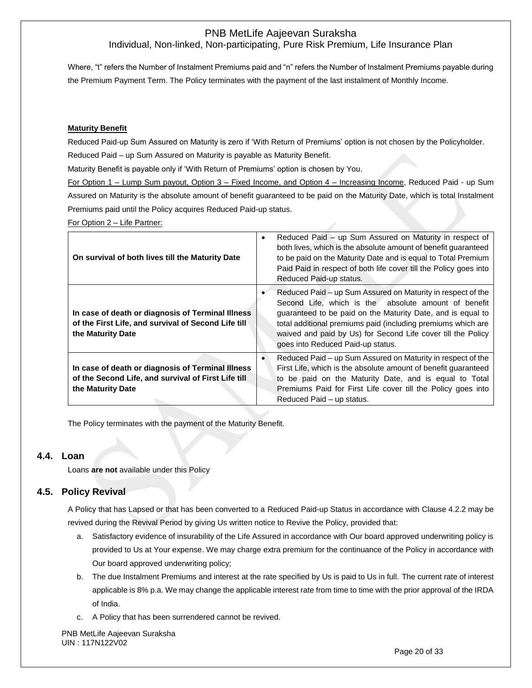Where, "t" refers the Number of Instalment Premiums paid and "n" refers the Number of Instalment Premiums payable during the Premium Payment Term. The Policy terminates with the payment of the last instalment of Monthly Income.

#### **Maturity Benefit**

Reduced Paid-up Sum Assured on Maturity is zero if 'With Return of Premiums' option is not chosen by the Policyholder.

Reduced Paid – up Sum Assured on Maturity is payable as Maturity Benefit.

Maturity Benefit is payable only if 'With Return of Premiums' option is chosen by You.

For Option 1 – Lump Sum payout, Option 3 – Fixed Income, and Option 4 – Increasing Income, Reduced Paid - up Sum Assured on Maturity is the absolute amount of benefit guaranteed to be paid on the Maturity Date, which is total Instalment Premiums paid until the Policy acquires Reduced Paid-up status.

For Option 2 – Life Partner:

| On survival of both lives till the Maturity Date                                                                              | Reduced Paid – up Sum Assured on Maturity in respect of<br>$\bullet$<br>both lives, which is the absolute amount of benefit quaranteed<br>to be paid on the Maturity Date and is equal to Total Premium<br>Paid Paid in respect of both life cover till the Policy goes into<br>Reduced Paid-up status.                                                 |
|-------------------------------------------------------------------------------------------------------------------------------|---------------------------------------------------------------------------------------------------------------------------------------------------------------------------------------------------------------------------------------------------------------------------------------------------------------------------------------------------------|
| In case of death or diagnosis of Terminal Illness<br>of the First Life, and survival of Second Life till<br>the Maturity Date | Reduced Paid – up Sum Assured on Maturity in respect of the<br>Second Life, which is the absolute amount of benefit<br>guaranteed to be paid on the Maturity Date, and is equal to<br>total additional premiums paid (including premiums which are<br>waived and paid by Us) for Second Life cover till the Policy<br>goes into Reduced Paid-up status. |
| In case of death or diagnosis of Terminal Illness<br>of the Second Life, and survival of First Life till<br>the Maturity Date | Reduced Paid - up Sum Assured on Maturity in respect of the<br>$\bullet$<br>First Life, which is the absolute amount of benefit guaranteed<br>to be paid on the Maturity Date, and is equal to Total<br>Premiums Paid for First Life cover till the Policy goes into<br>Reduced Paid - up status.                                                       |

The Policy terminates with the payment of the Maturity Benefit.

### **4.4. Loan**

Loans **are not** available under this Policy

## **4.5. Policy Revival**

A Policy that has Lapsed or that has been converted to a Reduced Paid-up Status in accordance with Clause 4.2.2 may be revived during the Revival Period by giving Us written notice to Revive the Policy, provided that:

- a. Satisfactory evidence of insurability of the Life Assured in accordance with Our board approved underwriting policy is provided to Us at Your expense. We may charge extra premium for the continuance of the Policy in accordance with Our board approved underwriting policy;
- b. The due Instalment Premiums and interest at the rate specified by Us is paid to Us in full. The current rate of interest applicable is 8% p.a. We may change the applicable interest rate from time to time with the prior approval of the IRDA of India.
- c. A Policy that has been surrendered cannot be revived.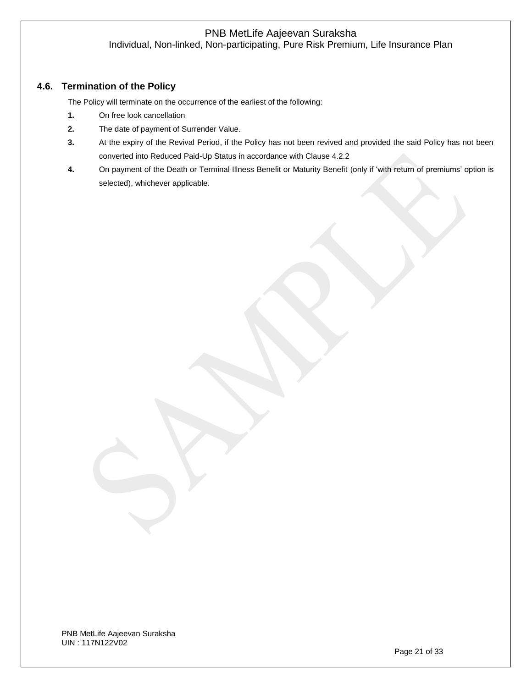# **4.6. Termination of the Policy**

The Policy will terminate on the occurrence of the earliest of the following:

- **1.** On free look cancellation
- **2.** The date of payment of Surrender Value.
- **3.** At the expiry of the Revival Period, if the Policy has not been revived and provided the said Policy has not been converted into Reduced Paid-Up Status in accordance with Clause 4.2.2
- **4.** On payment of the Death or Terminal Illness Benefit or Maturity Benefit (only if 'with return of premiums' option is selected), whichever applicable.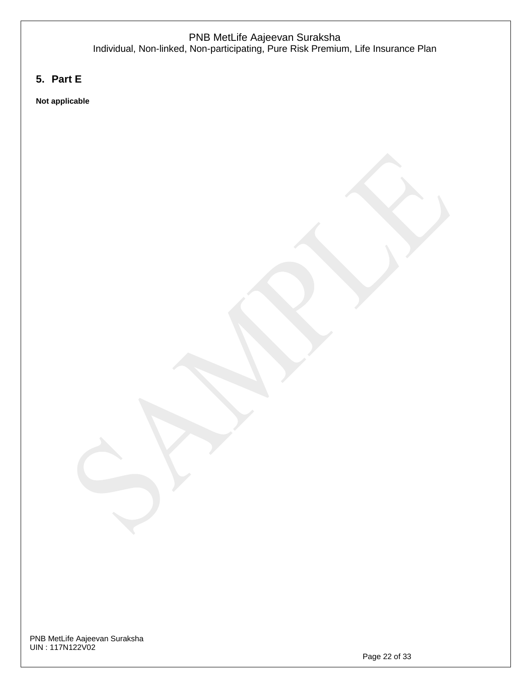# **5. Part E**

**Not applicable**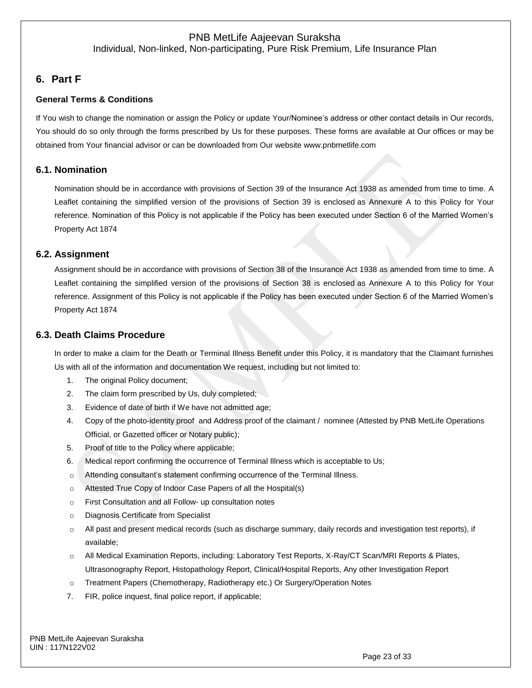Individual, Non-linked, Non-participating, Pure Risk Premium, Life Insurance Plan

# **6. Part F**

### **General Terms & Conditions**

If You wish to change the nomination or assign the Policy or update Your/Nominee's address or other contact details in Our records, You should do so only through the forms prescribed by Us for these purposes. These forms are available at Our offices or may be obtained from Your financial advisor or can be downloaded from Our websit[e www.pnbmetlife.com](http://www.pnbmetlife.com/)

### **6.1. Nomination**

Nomination should be in accordance with provisions of Section 39 of the Insurance Act 1938 as amended from time to time. A Leaflet containing the simplified version of the provisions of Section 39 is enclosed as Annexure A to this Policy for Your reference. Nomination of this Policy is not applicable if the Policy has been executed under Section 6 of the Married Women's Property Act 1874

### **6.2. Assignment**

Assignment should be in accordance with provisions of Section 38 of the Insurance Act 1938 as amended from time to time. A Leaflet containing the simplified version of the provisions of Section 38 is enclosed as Annexure A to this Policy for Your reference. Assignment of this Policy is not applicable if the Policy has been executed under Section 6 of the Married Women's Property Act 1874

### **6.3. Death Claims Procedure**

In order to make a claim for the Death or Terminal Illness Benefit under this Policy, it is mandatory that the Claimant furnishes Us with all of the information and documentation We request, including but not limited to:

- 1. The original Policy document;
- 2. The claim form prescribed by Us, duly completed;
- 3. Evidence of date of birth if We have not admitted age;
- 4. Copy of the photo-identity proof and Address proof of the claimant / nominee (Attested by PNB MetLife Operations Official, or Gazetted officer or Notary public);
- 5. Proof of title to the Policy where applicable;
- 6. Medical report confirming the occurrence of Terminal Illness which is acceptable to Us;
- o Attending consultant's statement confirming occurrence of the Terminal Illness.
- o Attested True Copy of Indoor Case Papers of all the Hospital(s)
- o First Consultation and all Follow- up consultation notes
- o Diagnosis Certificate from Specialist
- o All past and present medical records (such as discharge summary, daily records and investigation test reports), if available;
- o All Medical Examination Reports, including: Laboratory Test Reports, X-Ray/CT Scan/MRI Reports & Plates, Ultrasonography Report, Histopathology Report, Clinical/Hospital Reports, Any other Investigation Report
- o Treatment Papers (Chemotherapy, Radiotherapy etc.) Or Surgery/Operation Notes
- 7. FIR, police inquest, final police report, if applicable;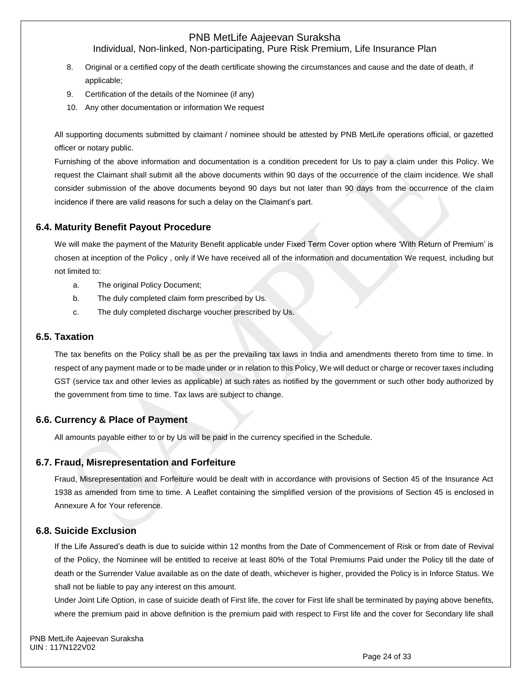## Individual, Non-linked, Non-participating, Pure Risk Premium, Life Insurance Plan

- 8. Original or a certified copy of the death certificate showing the circumstances and cause and the date of death, if applicable;
- 9. Certification of the details of the Nominee (if any)
- 10. Any other documentation or information We request

All supporting documents submitted by claimant / nominee should be attested by PNB MetLife operations official, or gazetted officer or notary public.

Furnishing of the above information and documentation is a condition precedent for Us to pay a claim under this Policy. We request the Claimant shall submit all the above documents within 90 days of the occurrence of the claim incidence. We shall consider submission of the above documents beyond 90 days but not later than 90 days from the occurrence of the claim incidence if there are valid reasons for such a delay on the Claimant's part.

#### **6.4. Maturity Benefit Payout Procedure**

We will make the payment of the Maturity Benefit applicable under Fixed Term Cover option where 'With Return of Premium' is chosen at inception of the Policy , only if We have received all of the information and documentation We request, including but not limited to:

- a. The original Policy Document;
- b. The duly completed claim form prescribed by Us.
- c. The duly completed discharge voucher prescribed by Us.

#### **6.5. Taxation**

The tax benefits on the Policy shall be as per the prevailing tax laws in India and amendments thereto from time to time. In respect of any payment made or to be made under or in relation to this Policy, We will deduct or charge or recover taxes including GST (service tax and other levies as applicable) at such rates as notified by the government or such other body authorized by the government from time to time. Tax laws are subject to change.

#### **6.6. Currency & Place of Payment**

All amounts payable either to or by Us will be paid in the currency specified in the Schedule.

#### **6.7. Fraud, Misrepresentation and Forfeiture**

Fraud, Misrepresentation and Forfeiture would be dealt with in accordance with provisions of Section 45 of the Insurance Act 1938 as amended from time to time. A Leaflet containing the simplified version of the provisions of Section 45 is enclosed in Annexure A for Your reference.

#### **6.8. Suicide Exclusion**

If the Life Assured's death is due to suicide within 12 months from the Date of Commencement of Risk or from date of Revival of the Policy, the Nominee will be entitled to receive at least 80% of the Total Premiums Paid under the Policy till the date of death or the Surrender Value available as on the date of death, whichever is higher, provided the Policy is in Inforce Status. We shall not be liable to pay any interest on this amount.

Under Joint Life Option, in case of suicide death of First life, the cover for First life shall be terminated by paying above benefits, where the premium paid in above definition is the premium paid with respect to First life and the cover for Secondary life shall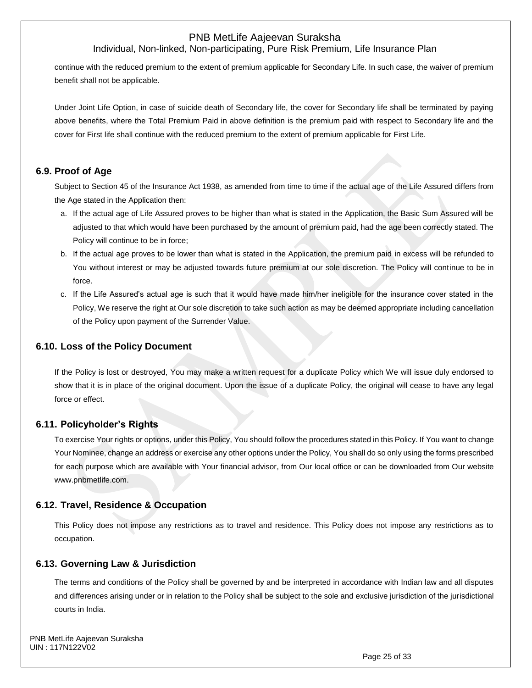### Individual, Non-linked, Non-participating, Pure Risk Premium, Life Insurance Plan

continue with the reduced premium to the extent of premium applicable for Secondary Life. In such case, the waiver of premium benefit shall not be applicable.

Under Joint Life Option, in case of suicide death of Secondary life, the cover for Secondary life shall be terminated by paying above benefits, where the Total Premium Paid in above definition is the premium paid with respect to Secondary life and the cover for First life shall continue with the reduced premium to the extent of premium applicable for First Life.

### **6.9. Proof of Age**

Subject to Section 45 of the Insurance Act 1938, as amended from time to time if the actual age of the Life Assured differs from the Age stated in the Application then:

- a. If the actual age of Life Assured proves to be higher than what is stated in the Application, the Basic Sum Assured will be adjusted to that which would have been purchased by the amount of premium paid, had the age been correctly stated. The Policy will continue to be in force;
- b. If the actual age proves to be lower than what is stated in the Application, the premium paid in excess will be refunded to You without interest or may be adjusted towards future premium at our sole discretion. The Policy will continue to be in force.
- c. If the Life Assured's actual age is such that it would have made him/her ineligible for the insurance cover stated in the Policy, We reserve the right at Our sole discretion to take such action as may be deemed appropriate including cancellation of the Policy upon payment of the Surrender Value.

### **6.10. Loss of the Policy Document**

If the Policy is lost or destroyed, You may make a written request for a duplicate Policy which We will issue duly endorsed to show that it is in place of the original document. Upon the issue of a duplicate Policy, the original will cease to have any legal force or effect.

### **6.11. Policyholder's Rights**

To exercise Your rights or options, under this Policy, You should follow the procedures stated in this Policy. If You want to change Your Nominee, change an address or exercise any other options under the Policy, You shall do so only using the forms prescribed for each purpose which are available with Your financial advisor, from Our local office or can be downloaded from Our website [www.pnbmetlife.com.](http://www.pnbmetlife.com/)

### **6.12. Travel, Residence & Occupation**

This Policy does not impose any restrictions as to travel and residence. This Policy does not impose any restrictions as to occupation.

### **6.13. Governing Law & Jurisdiction**

The terms and conditions of the Policy shall be governed by and be interpreted in accordance with Indian law and all disputes and differences arising under or in relation to the Policy shall be subject to the sole and exclusive jurisdiction of the jurisdictional courts in India.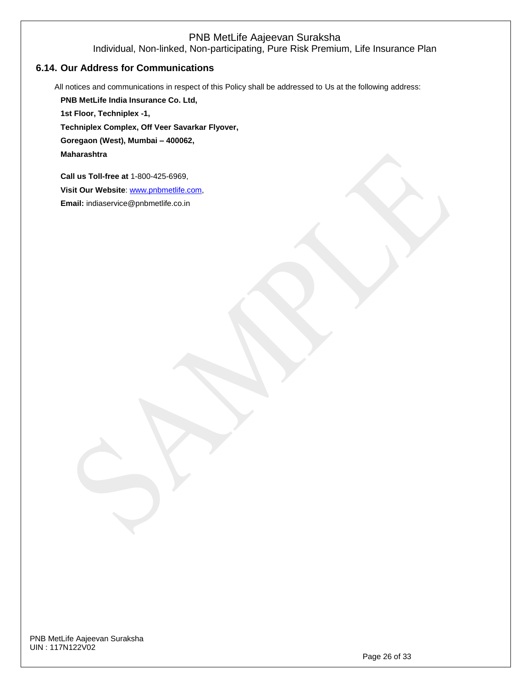Individual, Non-linked, Non-participating, Pure Risk Premium, Life Insurance Plan

### **6.14. Our Address for Communications**

All notices and communications in respect of this Policy shall be addressed to Us at the following address:

**PNB MetLife India Insurance Co. Ltd, 1st Floor, Techniplex -1, Techniplex Complex, Off Veer Savarkar Flyover, Goregaon (West), Mumbai – 400062, Maharashtra Call us Toll-free at** 1-800-425-6969,

**Visit Our Website**: [www.pnbmetlife.com,](http://www.pnbmetlife.com/) 

**Email:** indiaservice@pnbmetlife.co.in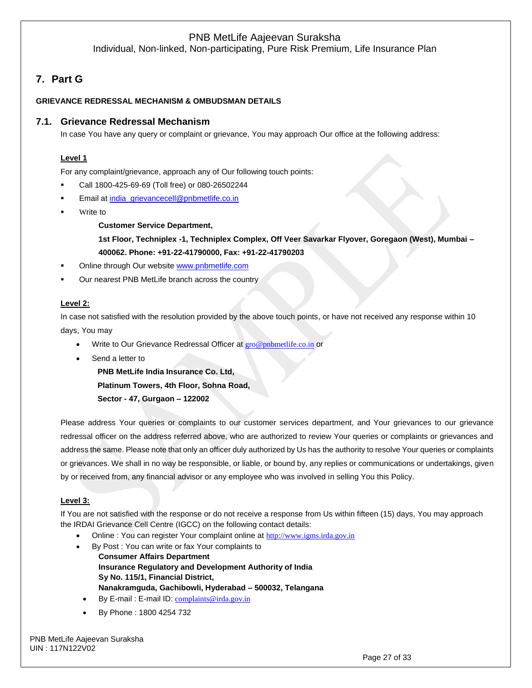Individual, Non-linked, Non-participating, Pure Risk Premium, Life Insurance Plan

# **7. Part G**

#### **GRIEVANCE REDRESSAL MECHANISM & OMBUDSMAN DETAILS**

### **7.1. Grievance Redressal Mechanism**

In case You have any query or complaint or grievance, You may approach Our office at the following address:

### **Level 1**

For any complaint/grievance, approach any of Our following touch points:

- Call 1800-425-69-69 (Toll free) or 080-26502244
- Email at [india\\_grievancecell@pnbmetlife.co.in](mailto:india_grievancecell@pnbmetlife.co.in)
- Write to

**Customer Service Department,** 

**1st Floor, Techniplex -1, Techniplex Complex, Off Veer Savarkar Flyover, Goregaon (West), Mumbai – 400062. Phone: +91-22-41790000, Fax: +91-22-41790203**

- Online through Our website [www.pnbmetlife.com](http://www.pnbmetlife.com/)
- Our nearest PNB MetLife branch across the country

#### **Level 2:**

In case not satisfied with the resolution provided by the above touch points, or have not received any response within 10 days, You may

- Write to Our Grievance Redressal Officer at [gro@pnbmetlife.co.in](mailto:gro@pnbmetlife.co.in) or
- Send a letter to

**PNB MetLife India Insurance Co. Ltd,**

**Platinum Towers, 4th Floor, Sohna Road,** 

**Sector - 47, Gurgaon – 122002**

Please address Your queries or complaints to our customer services department, and Your grievances to our grievance redressal officer on the address referred above, who are authorized to review Your queries or complaints or grievances and address the same. Please note that only an officer duly authorized by Us has the authority to resolve Your queries or complaints or grievances. We shall in no way be responsible, or liable, or bound by, any replies or communications or undertakings, given by or received from, any financial advisor or any employee who was involved in selling You this Policy.

#### **Level 3:**

If You are not satisfied with the response or do not receive a response from Us within fifteen (15) days, You may approach the IRDAI Grievance Cell Centre (IGCC) on the following contact details:

- Online : You can register Your complaint online at [http://www.igms.irda.gov.in](http://www.igms.irda.gov.in/)
- By Post : You can write or fax Your complaints to
	- **Consumer Affairs Department Insurance Regulatory and Development Authority of India Sy No. 115/1, Financial District, Nanakramguda, Gachibowli, Hyderabad – 500032, Telangana**
	- By E-mail : E-mail ID: [complaints@irda.gov.in](mailto:complaints@irda.gov.in)
	- By Phone : 1800 4254 732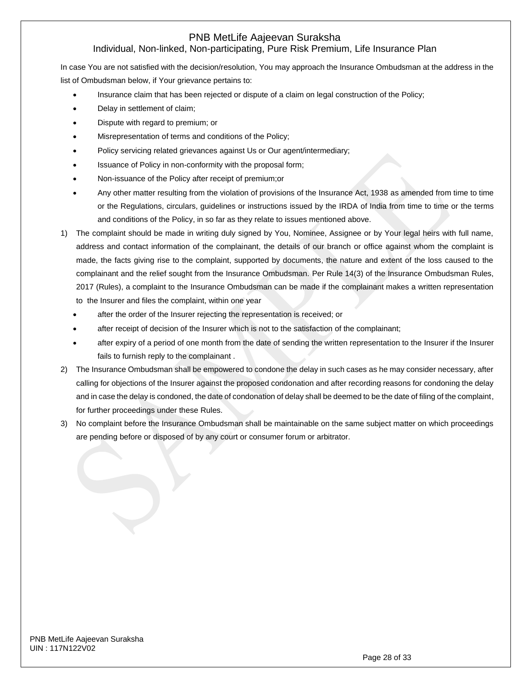# Individual, Non-linked, Non-participating, Pure Risk Premium, Life Insurance Plan

In case You are not satisfied with the decision/resolution, You may approach the Insurance Ombudsman at the address in the list of Ombudsman below, if Your grievance pertains to:

- Insurance claim that has been rejected or dispute of a claim on legal construction of the Policy;
- Delay in settlement of claim;
- Dispute with regard to premium; or
- Misrepresentation of terms and conditions of the Policy;
- Policy servicing related grievances against Us or Our agent/intermediary;
- Issuance of Policy in non-conformity with the proposal form;
- Non-issuance of the Policy after receipt of premium;or
- Any other matter resulting from the violation of provisions of the Insurance Act, 1938 as amended from time to time or the Regulations, circulars, guidelines or instructions issued by the IRDA of India from time to time or the terms and conditions of the Policy, in so far as they relate to issues mentioned above.
- 1) The complaint should be made in writing duly signed by You, Nominee, Assignee or by Your legal heirs with full name, address and contact information of the complainant, the details of our branch or office against whom the complaint is made, the facts giving rise to the complaint, supported by documents, the nature and extent of the loss caused to the complainant and the relief sought from the Insurance Ombudsman. Per Rule 14(3) of the Insurance Ombudsman Rules, 2017 (Rules), a complaint to the Insurance Ombudsman can be made if the complainant makes a written representation to the Insurer and files the complaint, within one year
	- after the order of the Insurer rejecting the representation is received; or
	- after receipt of decision of the Insurer which is not to the satisfaction of the complainant;
	- after expiry of a period of one month from the date of sending the written representation to the Insurer if the Insurer fails to furnish reply to the complainant .
- 2) The Insurance Ombudsman shall be empowered to condone the delay in such cases as he may consider necessary, after calling for objections of the Insurer against the proposed condonation and after recording reasons for condoning the delay and in case the delay is condoned, the date of condonation of delay shall be deemed to be the date of filing of the complaint, for further proceedings under these Rules.
- 3) No complaint before the Insurance Ombudsman shall be maintainable on the same subject matter on which proceedings are pending before or disposed of by any court or consumer forum or arbitrator.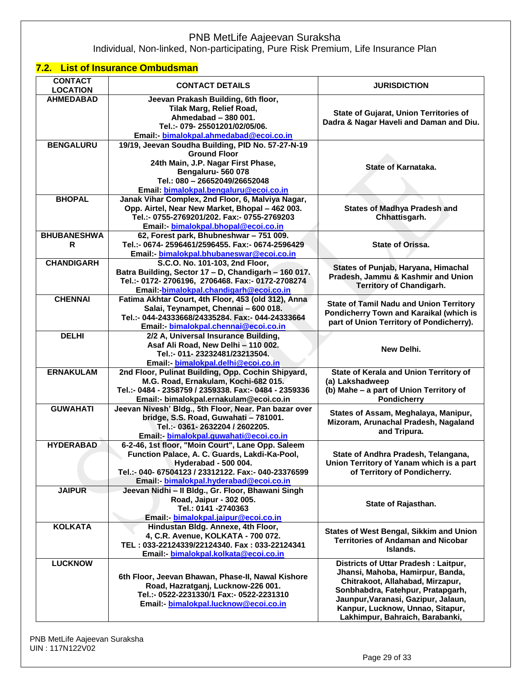Individual, Non-linked, Non-participating, Pure Risk Premium, Life Insurance Plan

# **7.2. List of Insurance Ombudsman**

| <b>CONTACT</b><br><b>LOCATION</b> | <b>CONTACT DETAILS</b>                                                                                                                                                                                                      | <b>JURISDICTION</b>                                                                                                                                                                                                                                             |
|-----------------------------------|-----------------------------------------------------------------------------------------------------------------------------------------------------------------------------------------------------------------------------|-----------------------------------------------------------------------------------------------------------------------------------------------------------------------------------------------------------------------------------------------------------------|
| <b>AHMEDABAD</b>                  | Jeevan Prakash Building, 6th floor,<br>Tilak Marg, Relief Road,<br>Ahmedabad - 380 001.<br>Tel.:- 079-25501201/02/05/06.<br>Email: bimalokpal.ahmedabad@ecoi.co.in                                                          | State of Gujarat, Union Territories of<br>Dadra & Nagar Haveli and Daman and Diu.                                                                                                                                                                               |
| <b>BENGALURU</b>                  | 19/19, Jeevan Soudha Building, PID No. 57-27-N-19<br><b>Ground Floor</b><br>24th Main, J.P. Nagar First Phase,<br>Bengaluru-560078<br>Tel.: 080 - 26652049/26652048<br>Email: bimalokpal.bengaluru@ecoi.co.in               | <b>State of Karnataka.</b>                                                                                                                                                                                                                                      |
| <b>BHOPAL</b>                     | Janak Vihar Complex, 2nd Floor, 6, Malviya Nagar,<br>Opp. Airtel, Near New Market, Bhopal - 462 003.<br>Tel.:- 0755-2769201/202. Fax:- 0755-2769203<br>Email: bimalokpal.bhopal@ecoi.co.in                                  | <b>States of Madhya Pradesh and</b><br>Chhattisgarh.                                                                                                                                                                                                            |
| <b>BHUBANESHWA</b><br>R           | 62, Forest park, Bhubneshwar - 751 009.<br>Tel.:- 0674- 2596461/2596455. Fax:- 0674-2596429<br>Email: bimalokpal.bhubaneswar@ecoi.co.in                                                                                     | <b>State of Orissa.</b>                                                                                                                                                                                                                                         |
| <b>CHANDIGARH</b>                 | S.C.O. No. 101-103, 2nd Floor,<br>Batra Building, Sector 17 - D, Chandigarh - 160 017.<br>Tel.:- 0172-2706196, 2706468. Fax:- 0172-2708274<br>Email: bimalokpal.chandigarh@ecoi.co.in                                       | States of Punjab, Haryana, Himachal<br>Pradesh, Jammu & Kashmir and Union<br><b>Territory of Chandigarh.</b>                                                                                                                                                    |
| <b>CHENNAI</b>                    | Fatima Akhtar Court, 4th Floor, 453 (old 312), Anna<br>Salai, Teynampet, Chennai - 600 018.<br>Tel.:- 044-24333668/24335284. Fax:- 044-24333664<br>Email bimalokpal.chennai@ecoi.co.in                                      | <b>State of Tamil Nadu and Union Territory</b><br>Pondicherry Town and Karaikal (which is<br>part of Union Territory of Pondicherry).                                                                                                                           |
| <b>DELHI</b>                      | 2/2 A, Universal Insurance Building,<br>Asaf Ali Road, New Delhi - 110 002.<br>Tel.:- 011- 23232481/23213504.<br>Email: bimalokpal.delhi@ecoi.co.in                                                                         | New Delhi.                                                                                                                                                                                                                                                      |
| <b>ERNAKULAM</b>                  | 2nd Floor, Pulinat Building, Opp. Cochin Shipyard,<br>M.G. Road, Ernakulam, Kochi-682 015.<br>Tel.:- 0484 - 2358759 / 2359338. Fax:- 0484 - 2359336<br>Email:- bimalokpal.ernakulam@ecoi.co.in                              | State of Kerala and Union Territory of<br>(a) Lakshadweep<br>(b) Mahe - a part of Union Territory of<br><b>Pondicherry</b>                                                                                                                                      |
| <b>GUWAHATI</b>                   | Jeevan Nivesh' Bldg., 5th Floor, Near. Pan bazar over<br>bridge, S.S. Road, Guwahati - 781001.<br>Tel.:- 0361-2632204 / 2602205.<br>Email: bimalokpal.guwahati@ecoi.co.in                                                   | States of Assam, Meghalaya, Manipur,<br>Mizoram, Arunachal Pradesh, Nagaland<br>and Tripura.                                                                                                                                                                    |
| <b>HYDERABAD</b>                  | 6-2-46, 1st floor, "Moin Court", Lane Opp. Saleem<br>Function Palace, A. C. Guards, Lakdi-Ka-Pool,<br>Hyderabad - 500 004.<br>Tel.:- 040- 67504123 / 23312122. Fax:- 040-23376599<br>Email: bimalokpal.hyderabad@ecoi.co.in | State of Andhra Pradesh, Telangana,<br>Union Territory of Yanam which is a part<br>of Territory of Pondicherry.                                                                                                                                                 |
| <b>JAIPUR</b>                     | Jeevan Nidhi - Il Bldg., Gr. Floor, Bhawani Singh<br>Road, Jaipur - 302 005.<br>Tel.: 0141 -2740363<br>Email bimalokpal.jaipur@ecoi.co.in                                                                                   | State of Rajasthan.                                                                                                                                                                                                                                             |
| <b>KOLKATA</b>                    | Hindustan Bldg. Annexe, 4th Floor,<br>4, C.R. Avenue, KOLKATA - 700 072.<br>TEL: 033-22124339/22124340. Fax: 033-22124341<br>Email - bimalokpal.kolkata@ecoi.co.in                                                          | States of West Bengal, Sikkim and Union<br><b>Territories of Andaman and Nicobar</b><br>Islands.                                                                                                                                                                |
| <b>LUCKNOW</b>                    | 6th Floor, Jeevan Bhawan, Phase-II, Nawal Kishore<br>Road, Hazratganj, Lucknow-226 001.<br>Tel.:- 0522-2231330/1 Fax:- 0522-2231310<br>Email: bimalokpal.lucknow@ecoi.co.in                                                 | Districts of Uttar Pradesh: Laitpur,<br>Jhansi, Mahoba, Hamirpur, Banda,<br>Chitrakoot, Allahabad, Mirzapur,<br>Sonbhabdra, Fatehpur, Pratapgarh,<br>Jaunpur, Varanasi, Gazipur, Jalaun,<br>Kanpur, Lucknow, Unnao, Sitapur,<br>Lakhimpur, Bahraich, Barabanki, |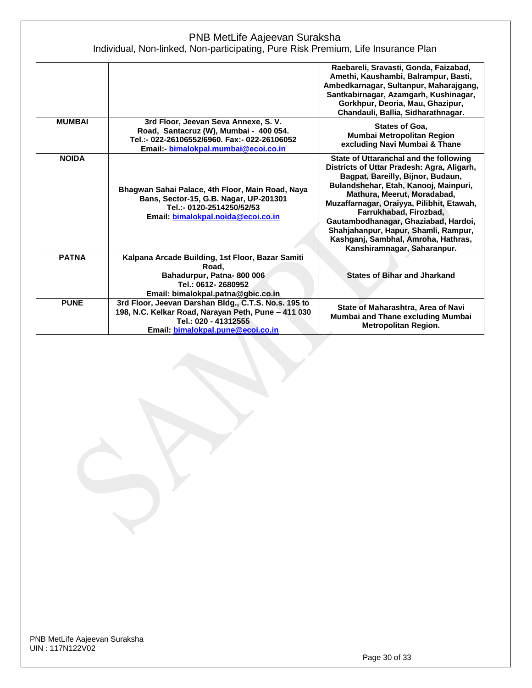|               |                                                                                                                                                                          | Raebareli, Sravasti, Gonda, Faizabad,<br>Amethi, Kaushambi, Balrampur, Basti,<br>Ambedkarnagar, Sultanpur, Maharajgang,<br>Santkabirnagar, Azamgarh, Kushinagar,<br>Gorkhpur, Deoria, Mau, Ghazipur,<br>Chandauli, Ballia, Sidharathnagar.                                                                                                                                                                                     |
|---------------|--------------------------------------------------------------------------------------------------------------------------------------------------------------------------|--------------------------------------------------------------------------------------------------------------------------------------------------------------------------------------------------------------------------------------------------------------------------------------------------------------------------------------------------------------------------------------------------------------------------------|
| <b>MUMBAI</b> | 3rd Floor, Jeevan Seva Annexe, S. V.<br>Road, Santacruz (W), Mumbai - 400 054.<br>Tel.:- 022-26106552/6960. Fax:- 022-26106052<br>Email: bimalokpal.mumbai@ecoi.co.in    | States of Goa,<br>Mumbai Metropolitan Region<br>excluding Navi Mumbai & Thane                                                                                                                                                                                                                                                                                                                                                  |
| <b>NOIDA</b>  | Bhagwan Sahai Palace, 4th Floor, Main Road, Naya<br>Bans, Sector-15, G.B. Nagar, UP-201301<br>Tel.:- 0120-2514250/52/53<br>Email: bimalokpal.noida@ecoi.co.in            | State of Uttaranchal and the following<br>Districts of Uttar Pradesh: Agra, Aligarh,<br>Bagpat, Bareilly, Bijnor, Budaun,<br>Bulandshehar, Etah, Kanooj, Mainpuri,<br>Mathura, Meerut, Moradabad,<br>Muzaffarnagar, Oraiyya, Pilibhit, Etawah,<br>Farrukhabad, Firozbad,<br>Gautambodhanagar, Ghaziabad, Hardoi,<br>Shahjahanpur, Hapur, Shamli, Rampur,<br>Kashganj, Sambhal, Amroha, Hathras,<br>Kanshiramnagar, Saharanpur. |
| <b>PATNA</b>  | Kalpana Arcade Building, 1st Floor, Bazar Samiti<br>Road.<br>Bahadurpur, Patna-800 006<br>Tel.: 0612-2680952<br>Email: bimalokpal.patna@gbic.co.in                       | <b>States of Bihar and Jharkand</b>                                                                                                                                                                                                                                                                                                                                                                                            |
| <b>PUNE</b>   | 3rd Floor, Jeevan Darshan Bldg., C.T.S. No.s. 195 to<br>198, N.C. Kelkar Road, Narayan Peth, Pune - 411 030<br>Tel.: 020 - 41312555<br>Email: bimalokpal.pune@ecoi.co.in | State of Maharashtra, Area of Navi<br>Mumbai and Thane excluding Mumbai<br><b>Metropolitan Region.</b>                                                                                                                                                                                                                                                                                                                         |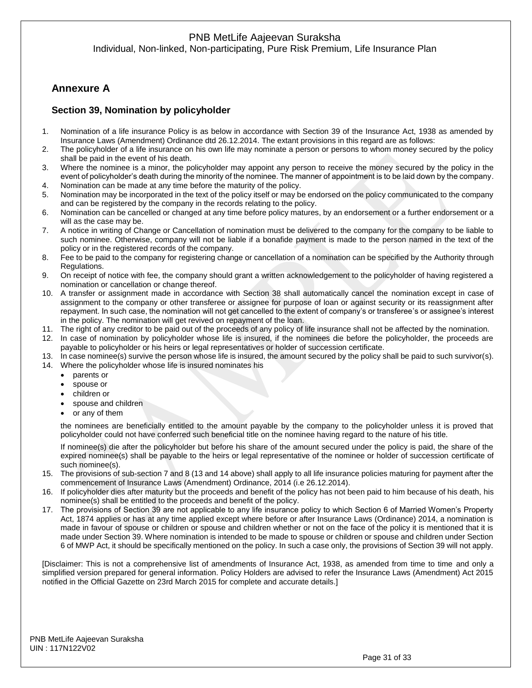Individual, Non-linked, Non-participating, Pure Risk Premium, Life Insurance Plan

# **Annexure A**

### **Section 39, Nomination by policyholder**

- 1. Nomination of a life insurance Policy is as below in accordance with Section 39 of the Insurance Act, 1938 as amended by Insurance Laws (Amendment) Ordinance dtd 26.12.2014. The extant provisions in this regard are as follows:
- 2. The policyholder of a life insurance on his own life may nominate a person or persons to whom money secured by the policy shall be paid in the event of his death.
- 3. Where the nominee is a minor, the policyholder may appoint any person to receive the money secured by the policy in the event of policyholder's death during the minority of the nominee. The manner of appointment is to be laid down by the company. 4. Nomination can be made at any time before the maturity of the policy.
- 5. Nomination may be incorporated in the text of the policy itself or may be endorsed on the policy communicated to the company
- and can be registered by the company in the records relating to the policy.
- 6. Nomination can be cancelled or changed at any time before policy matures, by an endorsement or a further endorsement or a will as the case may be.
- 7. A notice in writing of Change or Cancellation of nomination must be delivered to the company for the company to be liable to such nominee. Otherwise, company will not be liable if a bonafide payment is made to the person named in the text of the policy or in the registered records of the company.
- 8. Fee to be paid to the company for registering change or cancellation of a nomination can be specified by the Authority through Regulations.
- 9. On receipt of notice with fee, the company should grant a written acknowledgement to the policyholder of having registered a nomination or cancellation or change thereof.
- 10. A transfer or assignment made in accordance with Section 38 shall automatically cancel the nomination except in case of assignment to the company or other transferee or assignee for purpose of loan or against security or its reassignment after repayment. In such case, the nomination will not get cancelled to the extent of company's or transferee's or assignee's interest in the policy. The nomination will get revived on repayment of the loan.
- 11. The right of any creditor to be paid out of the proceeds of any policy of life insurance shall not be affected by the nomination.
- 12. In case of nomination by policyholder whose life is insured, if the nominees die before the policyholder, the proceeds are payable to policyholder or his heirs or legal representatives or holder of succession certificate.
- 13. In case nominee(s) survive the person whose life is insured, the amount secured by the policy shall be paid to such survivor(s).
- 14. Where the policyholder whose life is insured nominates his
	- parents or
	- spouse or
	- children or
	- spouse and children
	- or any of them

the nominees are beneficially entitled to the amount payable by the company to the policyholder unless it is proved that policyholder could not have conferred such beneficial title on the nominee having regard to the nature of his title.

If nominee(s) die after the policyholder but before his share of the amount secured under the policy is paid, the share of the expired nominee(s) shall be payable to the heirs or legal representative of the nominee or holder of succession certificate of such nominee(s).

- 15. The provisions of sub-section 7 and 8 (13 and 14 above) shall apply to all life insurance policies maturing for payment after the commencement of Insurance Laws (Amendment) Ordinance, 2014 (i.e 26.12.2014).
- 16. If policyholder dies after maturity but the proceeds and benefit of the policy has not been paid to him because of his death, his nominee(s) shall be entitled to the proceeds and benefit of the policy.
- 17. The provisions of Section 39 are not applicable to any life insurance policy to which Section 6 of Married Women's Property Act, 1874 applies or has at any time applied except where before or after Insurance Laws (Ordinance) 2014, a nomination is made in favour of spouse or children or spouse and children whether or not on the face of the policy it is mentioned that it is made under Section 39. Where nomination is intended to be made to spouse or children or spouse and children under Section 6 of MWP Act, it should be specifically mentioned on the policy. In such a case only, the provisions of Section 39 will not apply.

[Disclaimer: This is not a comprehensive list of amendments of Insurance Act, 1938, as amended from time to time and only a simplified version prepared for general information. Policy Holders are advised to refer the Insurance Laws (Amendment) Act 2015 notified in the Official Gazette on 23rd March 2015 for complete and accurate details.]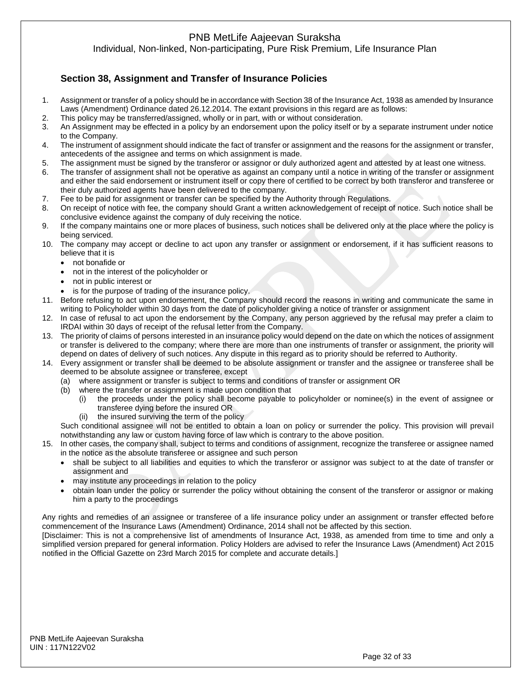Individual, Non-linked, Non-participating, Pure Risk Premium, Life Insurance Plan

# **Section 38, Assignment and Transfer of Insurance Policies**

- 1. Assignment or transfer of a policy should be in accordance with Section 38 of the Insurance Act, 1938 as amended by Insurance Laws (Amendment) Ordinance dated 26.12.2014. The extant provisions in this regard are as follows:
- 2. This policy may be transferred/assigned, wholly or in part, with or without consideration.
- 3. An Assignment may be effected in a policy by an endorsement upon the policy itself or by a separate instrument under notice to the Company.
- 4. The instrument of assignment should indicate the fact of transfer or assignment and the reasons for the assignment or transfer, antecedents of the assignee and terms on which assignment is made.
- 5. The assignment must be signed by the transferor or assignor or duly authorized agent and attested by at least one witness.
- 6. The transfer of assignment shall not be operative as against an company until a notice in writing of the transfer or assignment and either the said endorsement or instrument itself or copy there of certified to be correct by both transferor and transferee or their duly authorized agents have been delivered to the company.
- 7. Fee to be paid for assignment or transfer can be specified by the Authority through Regulations.
- 8. On receipt of notice with fee, the company should Grant a written acknowledgement of receipt of notice. Such notice shall be conclusive evidence against the company of duly receiving the notice.
- 9. If the company maintains one or more places of business, such notices shall be delivered only at the place where the policy is being serviced.
- 10. The company may accept or decline to act upon any transfer or assignment or endorsement, if it has sufficient reasons to believe that it is
	- not bonafide or
	- not in the interest of the policyholder or
	- not in public interest or
	- is for the purpose of trading of the insurance policy.
- 11. Before refusing to act upon endorsement, the Company should record the reasons in writing and communicate the same in writing to Policyholder within 30 days from the date of policyholder giving a notice of transfer or assignment
- 12. In case of refusal to act upon the endorsement by the Company, any person aggrieved by the refusal may prefer a claim to IRDAI within 30 days of receipt of the refusal letter from the Company.
- 13. The priority of claims of persons interested in an insurance policy would depend on the date on which the notices of assignment or transfer is delivered to the company; where there are more than one instruments of transfer or assignment, the priority will depend on dates of delivery of such notices. Any dispute in this regard as to priority should be referred to Authority.
- 14. Every assignment or transfer shall be deemed to be absolute assignment or transfer and the assignee or transferee shall be deemed to be absolute assignee or transferee, except
	- (a) where assignment or transfer is subject to terms and conditions of transfer or assignment OR
	- (b) where the transfer or assignment is made upon condition that
		- (i) the proceeds under the policy shall become payable to policyholder or nominee(s) in the event of assignee or transferee dying before the insured OR
		- (ii) the insured surviving the term of the policy

Such conditional assignee will not be entitled to obtain a loan on policy or surrender the policy. This provision will prevail notwithstanding any law or custom having force of law which is contrary to the above position.

- 15. In other cases, the company shall, subject to terms and conditions of assignment, recognize the transferee or assignee named in the notice as the absolute transferee or assignee and such person
	- shall be subject to all liabilities and equities to which the transferor or assignor was subject to at the date of transfer or assignment and
	- may institute any proceedings in relation to the policy
	- obtain loan under the policy or surrender the policy without obtaining the consent of the transferor or assignor or making him a party to the proceedings

Any rights and remedies of an assignee or transferee of a life insurance policy under an assignment or transfer effected before commencement of the Insurance Laws (Amendment) Ordinance, 2014 shall not be affected by this section.

[Disclaimer: This is not a comprehensive list of amendments of Insurance Act, 1938, as amended from time to time and only a simplified version prepared for general information. Policy Holders are advised to refer the Insurance Laws (Amendment) Act 2015 notified in the Official Gazette on 23rd March 2015 for complete and accurate details.]